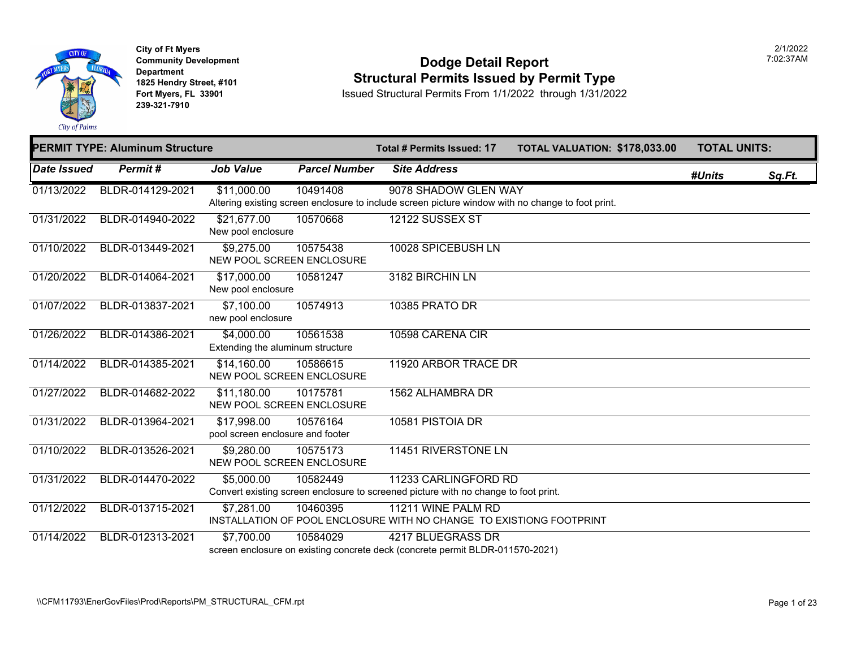

**City of Ft Myers Community Development Department 1825 Hendry Street, #101 Fort Myers, FL 33901 239-321-7910** 

#### **Dodge Detail Report Structural Permits Issued by Permit Type**

|             | <b>PERMIT TYPE: Aluminum Structure</b> |                                                 |                      | <b>Total # Permits Issued: 17</b>                                                                                         | <b>TOTAL VALUATION: \$178,03</b> |  |
|-------------|----------------------------------------|-------------------------------------------------|----------------------|---------------------------------------------------------------------------------------------------------------------------|----------------------------------|--|
| Date Issued | Permit#                                | <b>Job Value</b>                                | <b>Parcel Number</b> | <b>Site Address</b>                                                                                                       |                                  |  |
| 01/13/2022  | BLDR-014129-2021                       | \$11,000.00                                     | 10491408             | 9078 SHADOW GLEN WAY<br>Altering existing screen enclosure to include screen picture window with no change to foot print. |                                  |  |
| 01/31/2022  | BLDR-014940-2022                       | \$21,677.00<br>New pool enclosure               | 10570668             | <b>12122 SUSSEX ST</b>                                                                                                    |                                  |  |
| 01/10/2022  | BLDR-013449-2021                       | \$9,275.00<br>NEW POOL SCREEN ENCLOSURE         | 10575438             | 10028 SPICEBUSH LN                                                                                                        |                                  |  |
| 01/20/2022  | BLDR-014064-2021                       | \$17,000.00<br>New pool enclosure               | 10581247             | 3182 BIRCHIN LN                                                                                                           |                                  |  |
| 01/07/2022  | BLDR-013837-2021                       | \$7,100.00<br>new pool enclosure                | 10574913             | 10385 PRATO DR                                                                                                            |                                  |  |
| 01/26/2022  | BLDR-014386-2021                       | \$4,000.00<br>Extending the aluminum structure  | 10561538             | 10598 CARENA CIR                                                                                                          |                                  |  |
| 01/14/2022  | BLDR-014385-2021                       | \$14,160.00<br>NEW POOL SCREEN ENCLOSURE        | 10586615             | 11920 ARBOR TRACE DR                                                                                                      |                                  |  |
| 01/27/2022  | BLDR-014682-2022                       | \$11,180.00<br>NEW POOL SCREEN ENCLOSURE        | 10175781             | 1562 ALHAMBRA DR                                                                                                          |                                  |  |
| 01/31/2022  | BLDR-013964-2021                       | \$17,998.00<br>pool screen enclosure and footer | 10576164             | 10581 PISTOIA DR                                                                                                          |                                  |  |
| 01/10/2022  | BLDR-013526-2021                       | \$9,280.00<br>NEW POOL SCREEN ENCLOSURE         | 10575173             | 11451 RIVERSTONE LN                                                                                                       |                                  |  |
| 01/31/2022  | BLDR-014470-2022                       | \$5,000.00                                      | 10582449             | 11233 CARLINGFORD RD<br>Convert existing screen enclosure to screened picture with no change to foot print.               |                                  |  |
| 01/12/2022  | BLDR-013715-2021                       | \$7,281.00                                      | 10460395             | 11211 WINE PALM RD<br>INSTALLATION OF POOL ENCLOSURE WITH NO CHANGE TO EXISTIONG FOOTPRINT                                |                                  |  |
| 01/14/2022  | BLDR-012313-2021                       | \$7,700.00                                      | 10584029             | 4217 BLUEGRASS DR<br>screen enclosure on existing concrete deck (concrete permit BLDR-011570-2021)                        |                                  |  |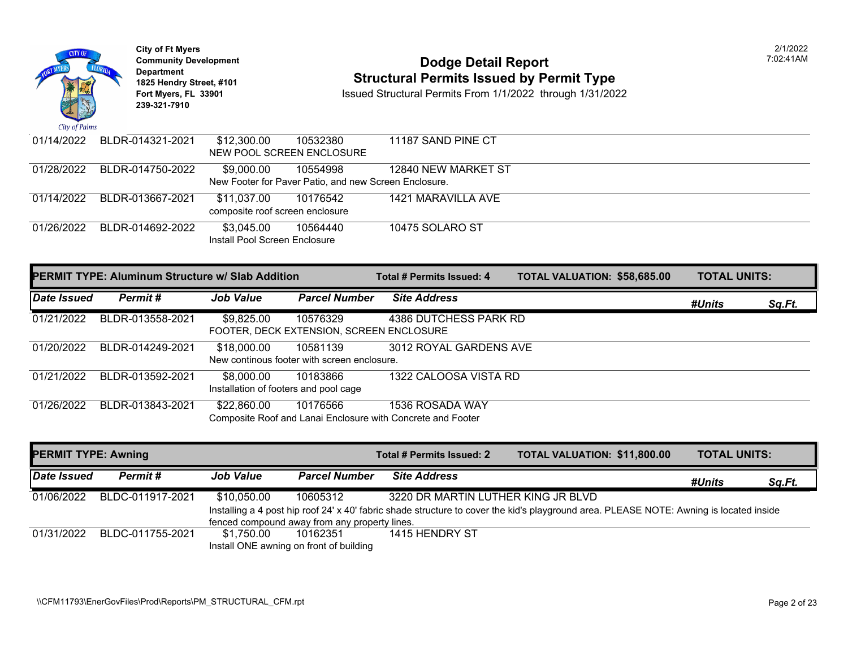

### **Community Development Dodge Detail Report** 7:02:41AM **1825 Hendry Street, #101**<br>1825 Hendry Street, #101 **Structural Permits Issued by Permit Type**<br>1/1/2022 through 1/31/2022

| 01/14/2022 | BLDR-014321-2021 | \$12,300.00                     | 10532380                                              | 11187 SAND PINE CT  |
|------------|------------------|---------------------------------|-------------------------------------------------------|---------------------|
|            |                  | NEW POOL SCREEN ENCLOSURE       |                                                       |                     |
| 01/28/2022 | BLDR-014750-2022 | \$9.000.00                      | 10554998                                              | 12840 NEW MARKET ST |
|            |                  |                                 | New Footer for Paver Patio, and new Screen Enclosure. |                     |
| 01/14/2022 | BLDR-013667-2021 | \$11.037.00                     | 10176542                                              | 1421 MARAVILLA AVE  |
|            |                  | composite roof screen enclosure |                                                       |                     |
| 01/26/2022 | BLDR-014692-2022 | \$3,045.00                      | 10564440                                              | 10475 SOLARO ST     |
|            |                  | Install Pool Screen Enclosure   |                                                       |                     |

|             | <b>PERMIT TYPE: Aluminum Structure w/ Slab Addition</b> |                                                     |                                                         | Total # Permits Issued: 4                                                      | <b>TOTAL VALUATION: \$58,685.00</b> | <b>TOTAL UNITS:</b> |        |
|-------------|---------------------------------------------------------|-----------------------------------------------------|---------------------------------------------------------|--------------------------------------------------------------------------------|-------------------------------------|---------------------|--------|
| Date Issued | Permit#                                                 | <b>Job Value</b>                                    | <b>Parcel Number</b>                                    | <b>Site Address</b>                                                            |                                     | #Units              | Sq.Ft. |
| 01/21/2022  | BLDR-013558-2021                                        | \$9,825.00                                          | 10576329<br>FOOTER, DECK EXTENSION, SCREEN ENCLOSURE    | 4386 DUTCHESS PARK RD                                                          |                                     |                     |        |
| 01/20/2022  | BLDR-014249-2021                                        | \$18,000.00                                         | 10581139<br>New continous footer with screen enclosure. | 3012 ROYAL GARDENS AVE                                                         |                                     |                     |        |
| 01/21/2022  | BLDR-013592-2021                                        | \$8,000.00<br>Installation of footers and pool cage | 10183866                                                | 1322 CALOOSA VISTA RD                                                          |                                     |                     |        |
| 01/26/2022  | BLDR-013843-2021                                        | \$22,860.00                                         | 10176566                                                | 1536 ROSADA WAY<br>Composite Roof and Lanai Enclosure with Concrete and Footer |                                     |                     |        |

| <b>PERMIT TYPE: Awning</b> |                  |                                               |                      | Total # Permits Issued: 2          | <b>TOTAL VALUATION: \$11,800.00</b>                                                                                                     | <b>TOTAL UNITS:</b> |               |
|----------------------------|------------------|-----------------------------------------------|----------------------|------------------------------------|-----------------------------------------------------------------------------------------------------------------------------------------|---------------------|---------------|
| <b>Date Issued</b>         | Permit #         | <b>Job Value</b>                              | <b>Parcel Number</b> | <b>Site Address</b>                |                                                                                                                                         | #Units              | <u>Sq.Ft.</u> |
| 01/06/2022                 | BLDC-011917-2021 | \$10,050.00                                   | 10605312             | 3220 DR MARTIN LUTHER KING JR BLVD |                                                                                                                                         |                     |               |
|                            |                  |                                               |                      |                                    | Installing a 4 post hip roof 24' x 40' fabric shade structure to cover the kid's playground area. PLEASE NOTE: Awning is located inside |                     |               |
|                            |                  | fenced compound away from any property lines. |                      |                                    |                                                                                                                                         |                     |               |
| 01/31/2022                 | BLDC-011755-2021 | \$1.750.00                                    | 10162351             | 1415 HENDRY ST                     |                                                                                                                                         |                     |               |
|                            |                  | Install ONE awning on front of building       |                      |                                    |                                                                                                                                         |                     |               |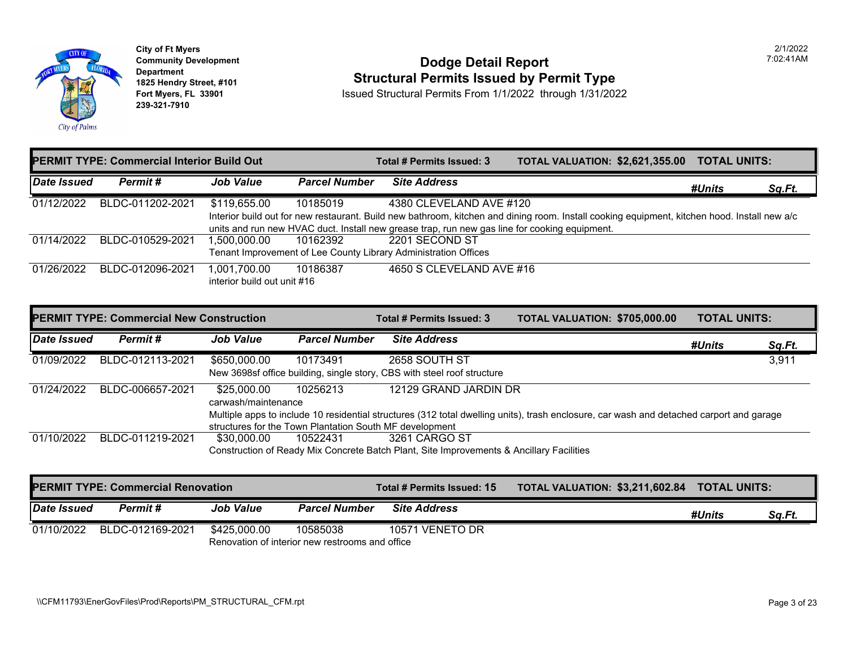

## **Community Development Community Development Dodge Detail Report 1825 Hendry Street, #101** Structural Permits Issued by Permit Type<br>1825 Hendry Street, #101 **Structural Permits Issued Structural Permits From 1/1/2022** through 1/31/202

|             | <b>PERMIT TYPE: Commercial Interior Build Out</b> |                             |               | Total # Permits Issued: 3                                                                                  | <b>TOTAL VALUATION: \$2,621,3</b> |  |
|-------------|---------------------------------------------------|-----------------------------|---------------|------------------------------------------------------------------------------------------------------------|-----------------------------------|--|
| Date Issued | Permit #                                          | <b>Job Value</b>            | Parcel Number | <b>Site Address</b>                                                                                        |                                   |  |
| 01/12/2022  | BLDC-011202-2021                                  | \$119,655.00                | 10185019      | 4380 CLEVELAND AVE #120                                                                                    |                                   |  |
|             |                                                   |                             |               | Interior build out for new restaurant. Build new bathroom, kitchen and dining room. Install cooking equipm |                                   |  |
|             |                                                   |                             |               | units and run new HVAC duct. Install new grease trap, run new gas line for cooking equipment.              |                                   |  |
| 01/14/2022  | BLDC-010529-2021                                  | 1,500,000.00                | 10162392      | 2201 SECOND ST                                                                                             |                                   |  |
|             |                                                   |                             |               | Tenant Improvement of Lee County Library Administration Offices                                            |                                   |  |
| 01/26/2022  | BLDC-012096-2021                                  | 1,001,700.00                | 10186387      | 4650 S CLEVELAND AVE #16                                                                                   |                                   |  |
|             |                                                   | interior build out unit #16 |               |                                                                                                            |                                   |  |

|             | <b>PERMIT TYPE: Commercial New Construction</b> |                                                         |                      | Total # Permits Issued: 3                                                                                    | <b>TOTAL VALUATION: \$705,00</b> |  |
|-------------|-------------------------------------------------|---------------------------------------------------------|----------------------|--------------------------------------------------------------------------------------------------------------|----------------------------------|--|
| Date Issued | Permit #                                        | <b>Job Value</b>                                        | <b>Parcel Number</b> | <b>Site Address</b>                                                                                          |                                  |  |
| 01/09/2022  | BLDC-012113-2021                                | \$650,000.00                                            | 10173491             | 2658 SOUTH ST                                                                                                |                                  |  |
|             |                                                 |                                                         |                      | New 3698sf office building, single story, CBS with steel roof structure                                      |                                  |  |
| 01/24/2022  | BLDC-006657-2021                                | \$25.000.00                                             | 10256213             | 12129 GRAND JARDIN DR                                                                                        |                                  |  |
|             |                                                 | carwash/maintenance                                     |                      |                                                                                                              |                                  |  |
|             |                                                 |                                                         |                      | Multiple apps to include 10 residential structures (312 total dwelling units), trash enclosure, car wash and |                                  |  |
|             |                                                 | structures for the Town Plantation South MF development |                      |                                                                                                              |                                  |  |
| 01/10/2022  | BLDC-011219-2021                                | \$30,000.00                                             | 10522431             | 3261 CARGO ST                                                                                                |                                  |  |
|             |                                                 |                                                         |                      | Construction of Ready Mix Concrete Batch Plant, Site Improvements & Ancillary Facilities                     |                                  |  |

| <b>PERMIT TYPE: Commercial Renovation</b> |                  |                  |                                                 | <b>Total # Permits Issued: 15</b> | <b>TOTAL VALUATION: \$3,211,6</b> |
|-------------------------------------------|------------------|------------------|-------------------------------------------------|-----------------------------------|-----------------------------------|
| Date Issued                               | Permit#          | <b>Job Value</b> | <b>Parcel Number</b>                            | <b>Site Address</b>               |                                   |
| 01/10/2022                                | BLDC-012169-2021 | \$425.000.00     | 10585038                                        | 10571 VENETO DR                   |                                   |
|                                           |                  |                  | Renovation of interior new restrooms and office |                                   |                                   |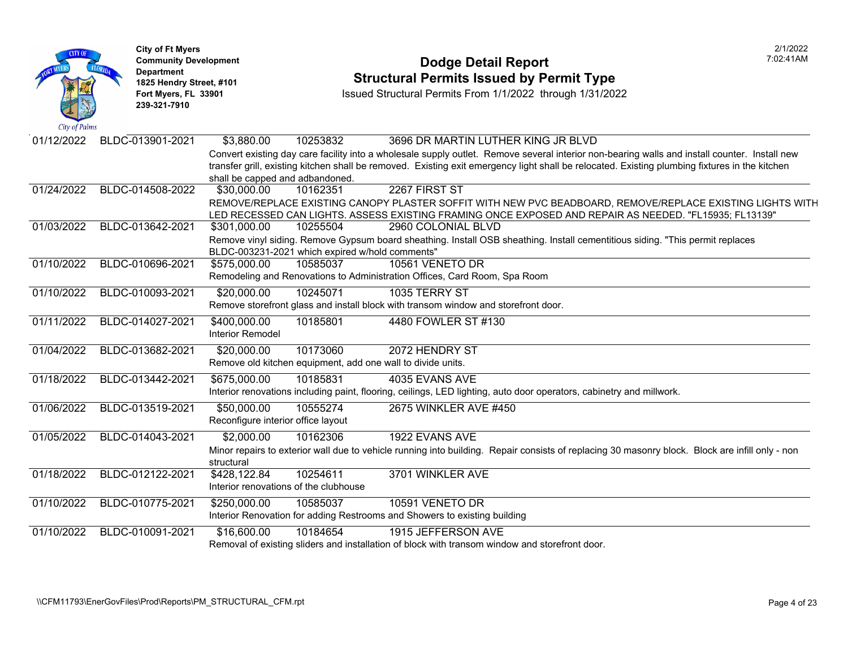| City of Palms | <b>City of Ft Myers</b><br><b>Community Development</b><br><b>Department</b><br>1825 Hendry Street, #101<br>Fort Myers, FL 33901<br>239-321-7910 | <b>Dodge Detail Report</b><br><b>Structural Permits Issued by Permit Type</b><br>Issued Structural Permits From 1/1/2022 through 1/31/2022                                                                                                                                                                                    |
|---------------|--------------------------------------------------------------------------------------------------------------------------------------------------|-------------------------------------------------------------------------------------------------------------------------------------------------------------------------------------------------------------------------------------------------------------------------------------------------------------------------------|
| 01/12/2022    | BLDC-013901-2021                                                                                                                                 | \$3,880.00<br>10253832<br>3696 DR MARTIN LUTHER KING JR BLVD<br>Convert existing day care facility into a wholesale supply outlet. Remove several interior non-bearing wa<br>transfer grill, existing kitchen shall be removed. Existing exit emergency light shall be relocated. Existing<br>shall be capped and adbandoned. |
| 01/24/2022    | BLDC-014508-2022                                                                                                                                 | 2267 FIRST ST<br>\$30,000.00<br>10162351<br>REMOVE/REPLACE EXISTING CANOPY PLASTER SOFFIT WITH NEW PVC BEADBOARD, REMOVE<br>LED RECESSED CAN LIGHTS. ASSESS EXISTING FRAMING ONCE EXPOSED AND REPAIR AS NE                                                                                                                    |
| 01/03/2022    | BLDC-013642-2021                                                                                                                                 | \$301,000.00<br>10255504<br>2960 COLONIAL BLVD<br>Remove vinyl siding. Remove Gypsum board sheathing. Install OSB sheathing. Install cementitious sidin<br>BLDC-003231-2021 which expired w/hold comments"                                                                                                                    |
| 01/10/2022    | BLDC-010696-2021                                                                                                                                 | 10585037<br>10561 VENETO DR<br>\$575,000.00<br>Remodeling and Renovations to Administration Offices, Card Room, Spa Room                                                                                                                                                                                                      |
| 01/10/2022    | BLDC-010093-2021                                                                                                                                 | \$20,000.00<br>10245071<br>1035 TERRY ST<br>Remove storefront glass and install block with transom window and storefront door.                                                                                                                                                                                                |
| 01/11/2022    | BLDC-014027-2021                                                                                                                                 | \$400,000.00<br>10185801<br>4480 FOWLER ST #130<br><b>Interior Remodel</b>                                                                                                                                                                                                                                                    |
| 01/04/2022    | BLDC-013682-2021                                                                                                                                 | 10173060<br>2072 HENDRY ST<br>\$20,000.00<br>Remove old kitchen equipment, add one wall to divide units.                                                                                                                                                                                                                      |
| 01/18/2022    | BLDC-013442-2021                                                                                                                                 | 10185831<br>4035 EVANS AVE<br>\$675,000.00<br>Interior renovations including paint, flooring, ceilings, LED lighting, auto door operators, cabinetry and mil                                                                                                                                                                  |
| 01/06/2022    | BLDC-013519-2021                                                                                                                                 | \$50,000.00<br>10555274<br>2675 WINKLER AVE #450<br>Reconfigure interior office layout                                                                                                                                                                                                                                        |
| 01/05/2022    | BLDC-014043-2021                                                                                                                                 | 10162306<br>1922 EVANS AVE<br>\$2,000.00<br>Minor repairs to exterior wall due to vehicle running into building. Repair consists of replacing 30 masonr<br>structural                                                                                                                                                         |
| 01/18/2022    | BLDC-012122-2021                                                                                                                                 | 3701 WINKLER AVE<br>10254611<br>\$428,122.84<br>Interior renovations of the clubhouse                                                                                                                                                                                                                                         |
| 01/10/2022    | BLDC-010775-2021                                                                                                                                 | \$250,000.00<br>10585037<br>10591 VENETO DR<br>Interior Renovation for adding Restrooms and Showers to existing building                                                                                                                                                                                                      |
| 01/10/2022    | BLDC-010091-2021                                                                                                                                 | 10184654<br>1915 JEFFERSON AVE<br>\$16,600.00<br>Removal of existing sliders and installation of block with transom window and storefront door.                                                                                                                                                                               |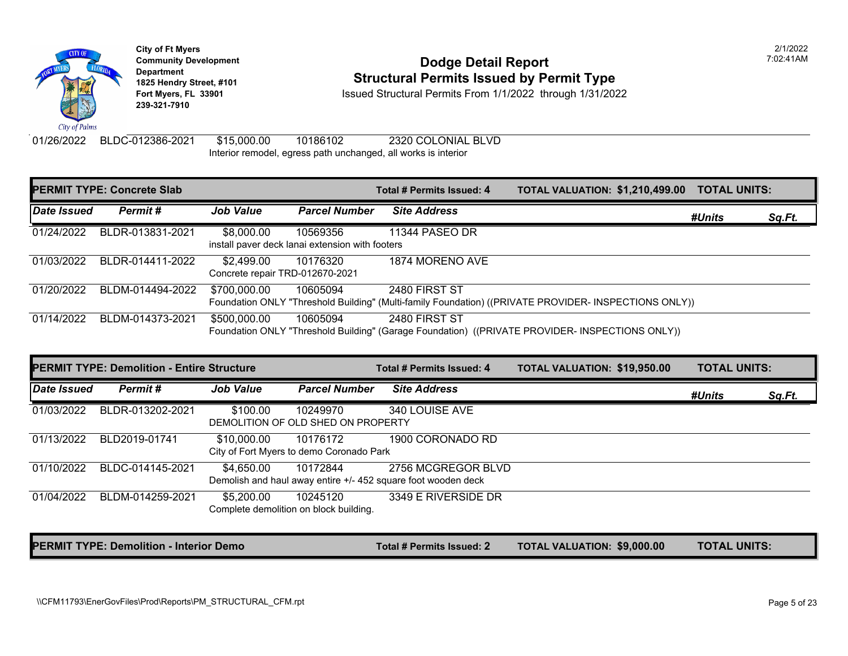

#### **Community Development Community Development Community Development 1825 Hendry Street, #101 1825 Hendry Street, #101 1825 Hendry Street, #101 Structural Permits Issued by Permit Type**<br>**1825 Fort Myers, FL 33901 18301 18301 18302** Issued Structural Permits From 1/1/2022 throug

**Fort Myers, FL 33901** Issued Structural Permits From 1/1/2022 through 1/31/2022

01/26/2022 BLDC-012386-2021 \$15,000.00 10186102 2320 COLONIAL BLVD Interior remodel, egress path unchanged, all works is interior

|             | <b>PERMIT TYPE: Concrete Slab</b> |                                               |                                                             | Total # Permits Issued: 4 | <b>TOTAL VALUATION: \$1,210,4</b>                                                              |
|-------------|-----------------------------------|-----------------------------------------------|-------------------------------------------------------------|---------------------------|------------------------------------------------------------------------------------------------|
| Date Issued | Permit#                           | <b>Job Value</b>                              | <b>Parcel Number</b>                                        | <b>Site Address</b>       |                                                                                                |
| 01/24/2022  | BLDR-013831-2021                  | \$8,000.00                                    | 10569356<br>install paver deck lanai extension with footers | 11344 PASEO DR            |                                                                                                |
| 01/03/2022  | BLDR-014411-2022                  | \$2,499.00<br>Concrete repair TRD-012670-2021 | 10176320                                                    | 1874 MORENO AVE           |                                                                                                |
| 01/20/2022  | BLDM-014494-2022                  | \$700,000.00                                  | 10605094                                                    | 2480 FIRST ST             | Foundation ONLY "Threshold Building" (Multi-family Foundation) ((PRIVATE PROVIDER- INSPECTIONS |
| 01/14/2022  | BLDM-014373-2021                  | \$500,000.00                                  | 10605094                                                    | 2480 FIRST ST             | Foundation ONLY "Threshold Building" (Garage Foundation) ((PRIVATE PROVIDER- INSPECTIONS O     |

|             | <b>PERMIT TYPE: Demolition - Entire Structure</b> |                  |                                                      | Total # Permits Issued: 4                                                           | <b>TOTAL VALUATION: \$19,950</b> |  |
|-------------|---------------------------------------------------|------------------|------------------------------------------------------|-------------------------------------------------------------------------------------|----------------------------------|--|
| Date Issued | Permit#                                           | <b>Job Value</b> | <b>Parcel Number</b>                                 | <b>Site Address</b>                                                                 |                                  |  |
| 01/03/2022  | BLDR-013202-2021                                  | \$100.00         | 10249970<br>DEMOLITION OF OLD SHED ON PROPERTY       | 340 LOUISE AVE                                                                      |                                  |  |
| 01/13/2022  | BLD2019-01741                                     | \$10,000.00      | 10176172<br>City of Fort Myers to demo Coronado Park | 1900 CORONADO RD                                                                    |                                  |  |
| 01/10/2022  | BLDC-014145-2021                                  | \$4,650.00       | 10172844                                             | 2756 MCGREGOR BLVD<br>Demolish and haul away entire +/- 452 square foot wooden deck |                                  |  |
| 01/04/2022  | BLDM-014259-2021                                  | \$5,200.00       | 10245120<br>Complete demolition on block building.   | 3349 E RIVERSIDE DR                                                                 |                                  |  |

PERMIT TYPE: Demolition - Interior Demo **The Community of the Contract # Permits Issued: 2** TOTAL VALUATION: \$9,000.00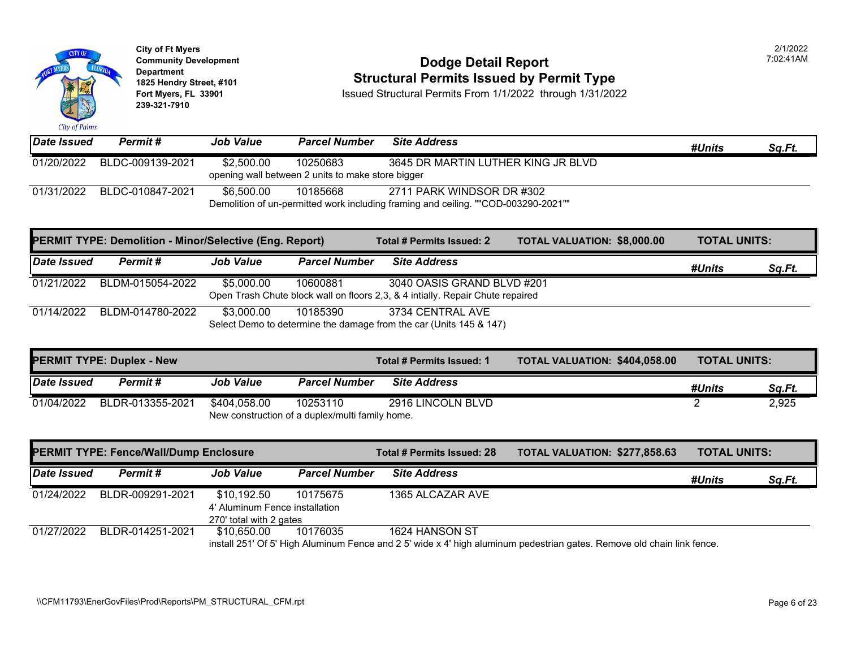

### **Community Development Community Development Dodge Detail Report 1825 Hendry Street, #101 1825 Hendry Street, #101 1825 Hendry Street, #101 Structural Permits Issued by Permit Type**<br>**1825 Fort Myers, FL 33901 18301 ISSued Structural Permits From 1/1/2022** through 1/31/202

| Date Issued | Permit #         | <b>Job Value</b> | <b>Parcel Number</b>                                          | <b>Site Address</b>                                                                                             |
|-------------|------------------|------------------|---------------------------------------------------------------|-----------------------------------------------------------------------------------------------------------------|
| 01/20/2022  | BLDC-009139-2021 | \$2,500.00       | 10250683<br>opening wall between 2 units to make store bigger | 3645 DR MARTIN LUTHER KING JR BLVD                                                                              |
| 01/31/2022  | BLDC-010847-2021 | \$6,500.00       | 10185668                                                      | 2711 PARK WINDSOR DR #302<br>Demolition of un-permitted work including framing and ceiling. ""COD-003290-2021"" |

|             | <b>PERMIT TYPE: Demolition - Minor/Selective (Eng. Report)</b> |                  |                      | Total # Permits Issued: 2                                                                                    | <b>TOTAL VALUATION: \$8,000.0</b> |  |
|-------------|----------------------------------------------------------------|------------------|----------------------|--------------------------------------------------------------------------------------------------------------|-----------------------------------|--|
| Date Issued | <b>Permit #</b>                                                | <b>Job Value</b> | <b>Parcel Number</b> | <b>Site Address</b>                                                                                          |                                   |  |
| 01/21/2022  | BLDM-015054-2022                                               | \$5,000.00       | 10600881             | 3040 OASIS GRAND BLVD #201<br>Open Trash Chute block wall on floors 2,3, & 4 intially. Repair Chute repaired |                                   |  |
| 01/14/2022  | BLDM-014780-2022                                               | \$3.000.00       | 10185390             | 3734 CENTRAL AVE<br>Select Demo to determine the damage from the car (Units 145 & 147)                       |                                   |  |

| <b>PERMIT TYPE: Duplex - New</b> |                             |              |                                                 | Total # Permits Issued: 1 | <b>TOTAL VALUATION: \$404,05</b> |
|----------------------------------|-----------------------------|--------------|-------------------------------------------------|---------------------------|----------------------------------|
| Date Issued                      | <b>Job Value</b><br>Permit# |              | <b>Parcel Number</b>                            | <b>Site Address</b>       |                                  |
| 01/04/2022                       | BLDR-013355-2021            | \$404,058.00 | 10253110                                        | 2916 LINCOLN BLVD         |                                  |
|                                  |                             |              | New construction of a duplex/multi family home. |                           |                                  |

|             | <b>PERMIT TYPE: Fence/Wall/Dump Enclosure</b> |                                | Total # Permits Issued: 28 | <b>TOTAL VALUATION: \$277,85</b> |                                                                                                        |
|-------------|-----------------------------------------------|--------------------------------|----------------------------|----------------------------------|--------------------------------------------------------------------------------------------------------|
| Date Issued | Permit #                                      | <b>Job Value</b>               | <b>Parcel Number</b>       | <b>Site Address</b>              |                                                                                                        |
| 01/24/2022  | BLDR-009291-2021                              | \$10,192.50                    | 10175675                   | 1365 ALCAZAR AVE                 |                                                                                                        |
|             |                                               | 4' Aluminum Fence installation |                            |                                  |                                                                                                        |
|             |                                               | 270' total with 2 gates        |                            |                                  |                                                                                                        |
| 01/27/2022  | BLDR-014251-2021                              | \$10.650.00                    | 10176035                   | 1624 HANSON ST                   |                                                                                                        |
|             |                                               |                                |                            |                                  | install 251' Of 5' High Aluminum Fence and 2 5' wide x 4' high aluminum pedestrian gates. Remove old c |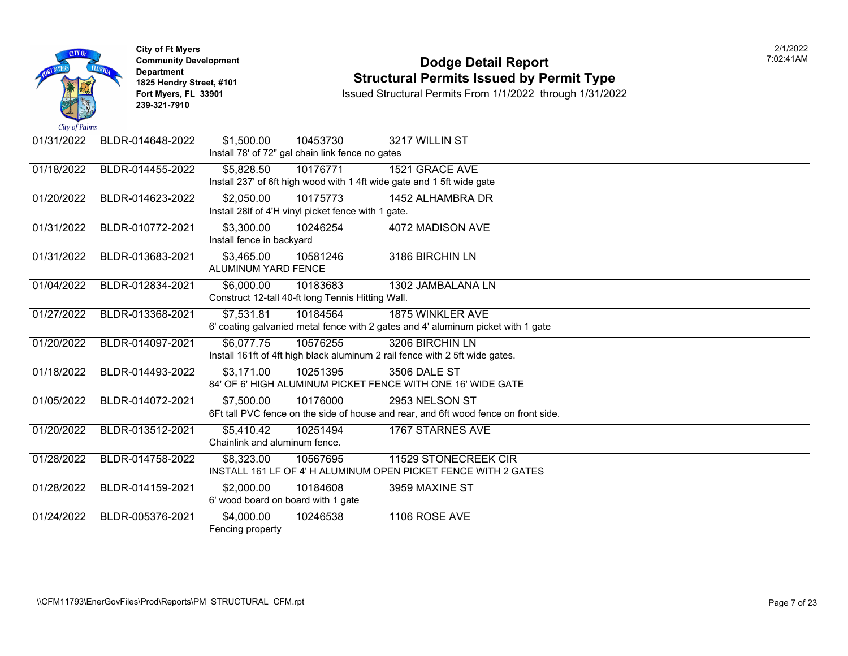|                             | <b>City of Ft Myers</b><br><b>Community Development</b><br><b>Department</b><br>1825 Hendry Street, #101<br>Fort Myers, FL 33901<br>239-321-7910 |                                                                                                        | <b>Dodge Detail Report</b><br><b>Structural Permits Issued by Permit Type</b><br>Issued Structural Permits From 1/1/2022 through 1/31/2022 |
|-----------------------------|--------------------------------------------------------------------------------------------------------------------------------------------------|--------------------------------------------------------------------------------------------------------|--------------------------------------------------------------------------------------------------------------------------------------------|
| City of Palms<br>01/31/2022 | BLDR-014648-2022                                                                                                                                 | \$1,500.00<br>10453730                                                                                 | 3217 WILLIN ST                                                                                                                             |
|                             |                                                                                                                                                  | Install 78' of 72" gal chain link fence no gates                                                       |                                                                                                                                            |
| 01/18/2022                  | BLDR-014455-2022                                                                                                                                 | 10176771<br>\$5,828.50<br>Install 237' of 6ft high wood with 1 4ft wide gate and 1 5ft wide gate       | 1521 GRACE AVE                                                                                                                             |
| 01/20/2022                  | BLDR-014623-2022                                                                                                                                 | 10175773<br>\$2,050.00<br>Install 28If of 4'H vinyl picket fence with 1 gate.                          | 1452 ALHAMBRA DR                                                                                                                           |
| 01/31/2022                  | BLDR-010772-2021                                                                                                                                 | \$3,300.00<br>10246254<br>Install fence in backyard                                                    | 4072 MADISON AVE                                                                                                                           |
| 01/31/2022                  | BLDR-013683-2021                                                                                                                                 | \$3,465.00<br>10581246<br>ALUMINUM YARD FENCE                                                          | 3186 BIRCHIN LN                                                                                                                            |
| 01/04/2022                  | BLDR-012834-2021                                                                                                                                 | \$6,000.00<br>10183683<br>Construct 12-tall 40-ft long Tennis Hitting Wall.                            | 1302 JAMBALANA LN                                                                                                                          |
| 01/27/2022                  | BLDR-013368-2021                                                                                                                                 | \$7,531.81<br>10184564                                                                                 | <b>1875 WINKLER AVE</b><br>6' coating galvanied metal fence with 2 gates and 4' aluminum picket with 1 gate                                |
| 01/20/2022                  | BLDR-014097-2021                                                                                                                                 | 10576255<br>\$6,077.75<br>Install 161ft of 4ft high black aluminum 2 rail fence with 2 5ft wide gates. | 3206 BIRCHIN LN                                                                                                                            |
| 01/18/2022                  | BLDR-014493-2022                                                                                                                                 | \$3,171.00<br>10251395                                                                                 | 3506 DALE ST<br>84' OF 6' HIGH ALUMINUM PICKET FENCE WITH ONE 16' WIDE GATE                                                                |
| 01/05/2022                  | BLDR-014072-2021                                                                                                                                 | \$7,500.00<br>10176000                                                                                 | 2953 NELSON ST<br>6Ft tall PVC fence on the side of house and rear, and 6ft wood fence on front side.                                      |
| 01/20/2022                  | BLDR-013512-2021                                                                                                                                 | \$5,410.42<br>10251494<br>Chainlink and aluminum fence.                                                | 1767 STARNES AVE                                                                                                                           |
| 01/28/2022                  | BLDR-014758-2022                                                                                                                                 | \$8,323.00<br>10567695                                                                                 | 11529 STONECREEK CIR<br>INSTALL 161 LF OF 4' H ALUMINUM OPEN PICKET FENCE WITH 2 GATES                                                     |
| 01/28/2022                  | BLDR-014159-2021                                                                                                                                 | \$2,000.00<br>10184608<br>6' wood board on board with 1 gate                                           | 3959 MAXINE ST                                                                                                                             |
| 01/24/2022                  | BLDR-005376-2021                                                                                                                                 | \$4,000.00<br>10246538<br>Fencing property                                                             | 1106 ROSE AVE                                                                                                                              |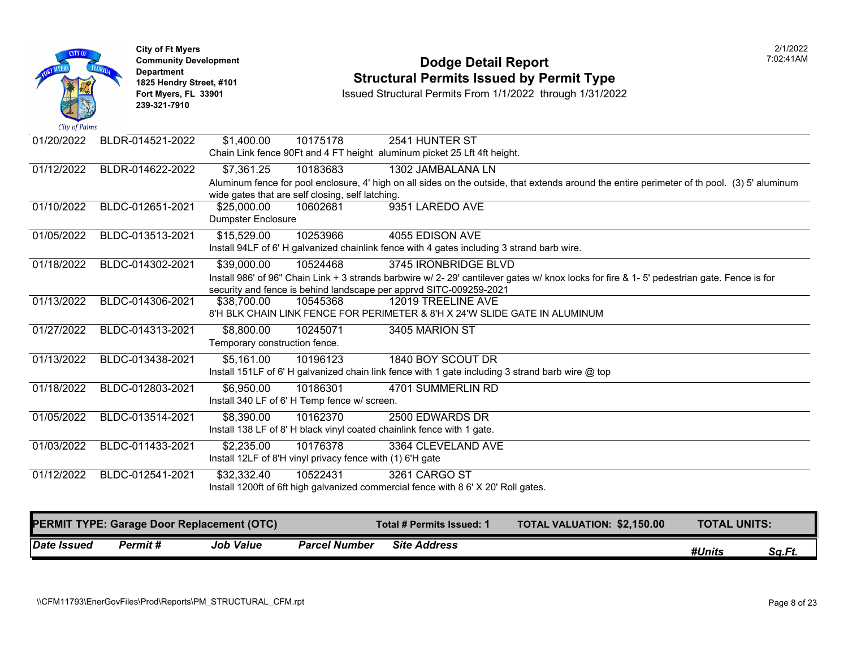

## **Community Development Dodge Detail Report** 7:02:41AM **1825 Hendry Street, #101**<br>1825 Hendry Street, #101 **Structural Permits Issued by Permit Type**<br>1/1/2022 through 1/31/2022

| <b>Date Issued</b> | <b>Permit#</b>                                    | <b>Job Value</b>                            | <b>Parcel Number</b>                                                  | <b>Site Address</b>                                                                              |                                                                                                                                              | #Units              | Sq.Ft. |
|--------------------|---------------------------------------------------|---------------------------------------------|-----------------------------------------------------------------------|--------------------------------------------------------------------------------------------------|----------------------------------------------------------------------------------------------------------------------------------------------|---------------------|--------|
|                    | <b>PERMIT TYPE: Garage Door Replacement (OTC)</b> |                                             |                                                                       | <b>Total # Permits Issued: 1</b>                                                                 | <b>TOTAL VALUATION: \$2,150.00</b>                                                                                                           | <b>TOTAL UNITS:</b> |        |
|                    |                                                   |                                             |                                                                       |                                                                                                  |                                                                                                                                              |                     |        |
|                    |                                                   |                                             |                                                                       | Install 1200ft of 6ft high galvanized commercial fence with 8 6' X 20' Roll gates.               |                                                                                                                                              |                     |        |
| 01/12/2022         | BLDC-012541-2021                                  | \$32,332.40                                 | Install 12LF of 8'H vinyl privacy fence with (1) 6'H gate<br>10522431 | 3261 CARGO ST                                                                                    |                                                                                                                                              |                     |        |
| 01/03/2022         | BLDC-011433-2021                                  | \$2,235.00                                  | 10176378                                                              | 3364 CLEVELAND AVE                                                                               |                                                                                                                                              |                     |        |
|                    |                                                   |                                             |                                                                       | Install 138 LF of 8' H black vinyl coated chainlink fence with 1 gate.                           |                                                                                                                                              |                     |        |
| 01/05/2022         | BLDC-013514-2021                                  | \$8,390.00                                  | 10162370                                                              | 2500 EDWARDS DR                                                                                  |                                                                                                                                              |                     |        |
|                    |                                                   |                                             | Install 340 LF of 6' H Temp fence w/ screen.                          |                                                                                                  |                                                                                                                                              |                     |        |
| 01/18/2022         | BLDC-012803-2021                                  | \$6,950.00                                  | 10186301                                                              | 4701 SUMMERLIN RD                                                                                |                                                                                                                                              |                     |        |
|                    |                                                   |                                             |                                                                       | Install 151LF of 6' H galvanized chain link fence with 1 gate including 3 strand barb wire @ top |                                                                                                                                              |                     |        |
| 01/13/2022         | BLDC-013438-2021                                  | Temporary construction fence.<br>\$5,161.00 | 10196123                                                              | 1840 BOY SCOUT DR                                                                                |                                                                                                                                              |                     |        |
| 01/27/2022         | BLDC-014313-2021                                  | \$8,800.00                                  | 10245071                                                              | 3405 MARION ST                                                                                   |                                                                                                                                              |                     |        |
|                    |                                                   |                                             |                                                                       | 8'H BLK CHAIN LINK FENCE FOR PERIMETER & 8'H X 24'W SLIDE GATE IN ALUMINUM                       |                                                                                                                                              |                     |        |
| 01/13/2022         | BLDC-014306-2021                                  | \$38,700.00                                 | 10545368                                                              | 12019 TREELINE AVE                                                                               |                                                                                                                                              |                     |        |
|                    |                                                   |                                             |                                                                       | security and fence is behind landscape per apprvd SITC-009259-2021                               |                                                                                                                                              |                     |        |
| 01/18/2022         | BLDC-014302-2021                                  | \$39,000.00                                 | 10524468                                                              | 3745 IRONBRIDGE BLVD                                                                             | Install 986' of 96" Chain Link + 3 strands barbwire w/ 2- 29' cantilever gates w/ knox locks for fire & 1- 5' pedestrian gate. Fence is for  |                     |        |
|                    |                                                   |                                             |                                                                       | Install 94LF of 6'H galvanized chainlink fence with 4 gates including 3 strand barb wire.        |                                                                                                                                              |                     |        |
| 01/05/2022         | BLDC-013513-2021                                  | \$15,529.00                                 | 10253966                                                              | 4055 EDISON AVE                                                                                  |                                                                                                                                              |                     |        |
|                    |                                                   | <b>Dumpster Enclosure</b>                   |                                                                       |                                                                                                  |                                                                                                                                              |                     |        |
| 01/10/2022         | BLDC-012651-2021                                  | \$25,000.00                                 | 10602681                                                              | 9351 LAREDO AVE                                                                                  |                                                                                                                                              |                     |        |
|                    |                                                   |                                             | wide gates that are self closing, self latching.                      |                                                                                                  | Aluminum fence for pool enclosure, 4' high on all sides on the outside, that extends around the entire perimeter of th pool. (3) 5' aluminum |                     |        |
| 01/12/2022         | BLDR-014622-2022                                  | \$7,361.25                                  | 10183683                                                              | 1302 JAMBALANA LN                                                                                |                                                                                                                                              |                     |        |
|                    |                                                   |                                             |                                                                       | Chain Link fence 90Ft and 4 FT height aluminum picket 25 Lft 4ft height.                         |                                                                                                                                              |                     |        |
| 01/20/2022         | BLDR-014521-2022                                  | \$1,400.00                                  | 10175178                                                              | 2541 HUNTER ST                                                                                   |                                                                                                                                              |                     |        |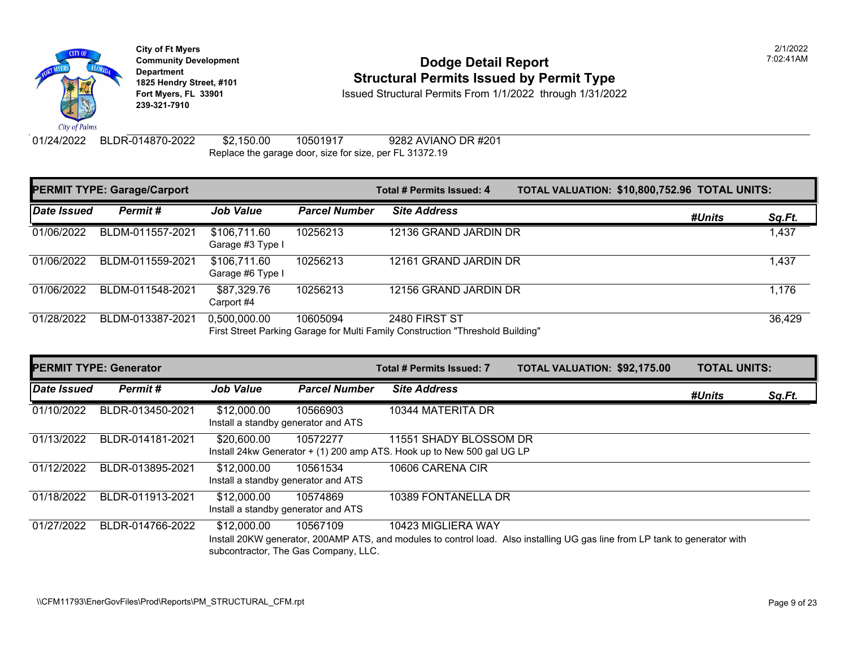

### **Community Development Community Development Community Development 1825 Hendry Street, #101 1825 Hendry Street, #101 1825 Hendry Street, #101 Structural Permits Issued by Permit Type**<br>**1825 Fort Myers, FL 33901 18301 18301 18302** Issued Structural Permits From 1/1/2022 throug

**Fort Myers, FL 33901** Issued Structural Permits From 1/1/2022 through 1/31/2022

01/24/2022 BLDR-014870-2022 \$2,150.00 10501917 9282 AVIANO DR #201 Replace the garage door, size for size, per FL 31372.19

| <b>PERMIT TYPE: Garage/Carport</b> |                  |                                  |                      | Total # Permits Issued: 4                                                                       | <b>TOTAL VALUATION: \$10,800</b> |  |
|------------------------------------|------------------|----------------------------------|----------------------|-------------------------------------------------------------------------------------------------|----------------------------------|--|
| Date Issued                        | Permit#          | <b>Job Value</b>                 | <b>Parcel Number</b> | <b>Site Address</b>                                                                             |                                  |  |
| 01/06/2022                         | BLDM-011557-2021 | \$106,711.60<br>Garage #3 Type I | 10256213             | 12136 GRAND JARDIN DR                                                                           |                                  |  |
| 01/06/2022                         | BLDM-011559-2021 | \$106,711.60<br>Garage #6 Type I | 10256213             | 12161 GRAND JARDIN DR                                                                           |                                  |  |
| 01/06/2022                         | BLDM-011548-2021 | \$87,329.76<br>Carport #4        | 10256213             | 12156 GRAND JARDIN DR                                                                           |                                  |  |
| 01/28/2022                         | BLDM-013387-2021 | 0,500,000.00                     | 10605094             | 2480 FIRST ST<br>First Street Parking Garage for Multi Family Construction "Threshold Building" |                                  |  |

| <b>PERMIT TYPE: Generator</b> |                  |                                                    |                                                  | <b>Total # Permits Issued: 7</b>                                                                   | <b>TOTAL VALUATION: \$92,175</b>                                                                        |
|-------------------------------|------------------|----------------------------------------------------|--------------------------------------------------|----------------------------------------------------------------------------------------------------|---------------------------------------------------------------------------------------------------------|
| Date Issued                   | Permit#          | <b>Job Value</b>                                   | <b>Parcel Number</b>                             | <b>Site Address</b>                                                                                |                                                                                                         |
| 01/10/2022                    | BLDR-013450-2021 | \$12,000.00<br>Install a standby generator and ATS | 10566903                                         | 10344 MATERITA DR                                                                                  |                                                                                                         |
| 01/13/2022                    | BLDR-014181-2021 | \$20,600.00                                        | 10572277                                         | 11551 SHADY BLOSSOM DR<br>Install 24kw Generator $+$ (1) 200 amp ATS. Hook up to New 500 gal UG LP |                                                                                                         |
| 01/12/2022                    | BLDR-013895-2021 | \$12,000.00<br>Install a standby generator and ATS | 10561534                                         | 10606 CARENA CIR                                                                                   |                                                                                                         |
| 01/18/2022                    | BLDR-011913-2021 | \$12,000.00<br>Install a standby generator and ATS | 10574869                                         | 10389 FONTANELLA DR                                                                                |                                                                                                         |
| 01/27/2022                    | BLDR-014766-2022 | \$12,000.00                                        | 10567109<br>subcontractor, The Gas Company, LLC. | 10423 MIGLIERA WAY                                                                                 | Install 20KW generator, 200AMP ATS, and modules to control load. Also installing UG gas line from LP to |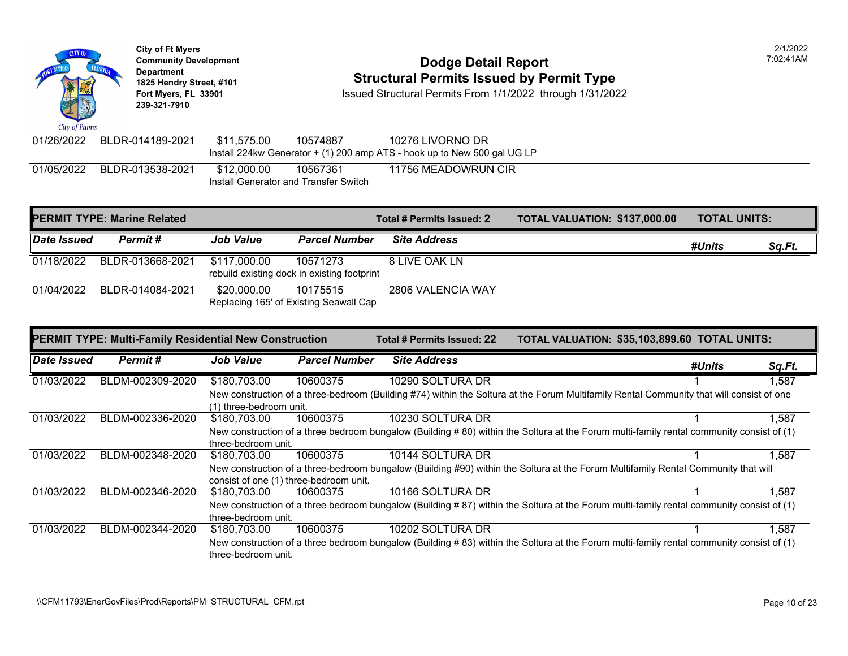Department<br>1825 Hendry Street, #101 **1825 Hendry Street, #101 1825 Hendry Street, #101 1825 Hendry Street, #101 Structural Permits Issued by Permit Type**<br>**1825 Hendry Street, #101 183901 ISSued Structural Permits From 1/1/2022** through 1/31/202 **Issued Structural Permits From 1/1/2022 through 1/31/2022 239-321-7910**  City of Palms 01/26/2022 BLDR-014189-2021 \$11,575.00 10574887 10276 LIVORNO DR Install 224kw Generator + (1) 200 amp ATS - hook up to New 500 gal UG LP 01/05/2022 BLDR-013538-2021 \$12,000.00 10567361 11756 MEADOWRUN CIR Install Generator and Transfer Switch

**City of Ft Myers** 2/1/2022 **Community Development** 7:02:41AM

|             | <b>PERMIT TYPE: Marine Related</b> |                  |                                                         | Total # Permits Issued: 2 | <b>TOTAL VALUATION: \$137,000.00</b> | <b>TOTAL UNITS:</b> |               |
|-------------|------------------------------------|------------------|---------------------------------------------------------|---------------------------|--------------------------------------|---------------------|---------------|
| Date Issued | Permit#                            | <b>Job Value</b> | <b>Parcel Number</b>                                    | <b>Site Address</b>       |                                      | #Units              | <u>Sq.Ft.</u> |
| 01/18/2022  | BLDR-013668-2021                   | \$117,000.00     | 10571273<br>rebuild existing dock in existing footprint | 8 LIVE OAK LN             |                                      |                     |               |
| 01/04/2022  | BLDR-014084-2021                   | \$20,000.00      | 10175515<br>Replacing 165' of Existing Seawall Cap      | 2806 VALENCIA WAY         |                                      |                     |               |

|             | <b>PERMIT TYPE: Multi-Family Residential New Construction</b> |                                        |                      | Total # Permits Issued: 22 | TOTAL VALUATION: \$35,103,899.60 TOTAL UNITS:                                                                                            |        |        |
|-------------|---------------------------------------------------------------|----------------------------------------|----------------------|----------------------------|------------------------------------------------------------------------------------------------------------------------------------------|--------|--------|
| Date Issued | Permit#                                                       | <b>Job Value</b>                       | <b>Parcel Number</b> | <b>Site Address</b>        |                                                                                                                                          | #Units | Sq.Ft. |
| 01/03/2022  | BLDM-002309-2020                                              | \$180,703.00                           | 10600375             | 10290 SOLTURA DR           |                                                                                                                                          |        | 1.587  |
|             |                                                               | (1) three-bedroom unit.                |                      |                            | New construction of a three-bedroom (Building #74) within the Soltura at the Forum Multifamily Rental Community that will consist of one |        |        |
| 01/03/2022  | BLDM-002336-2020                                              | \$180.703.00                           | 10600375             | 10230 SOLTURA DR           |                                                                                                                                          |        | 1,587  |
|             |                                                               | three-bedroom unit.                    |                      |                            | New construction of a three bedroom bungalow (Building #80) within the Soltura at the Forum multi-family rental community consist of (1) |        |        |
| 01/03/2022  | BLDM-002348-2020                                              | \$180,703.00                           | 10600375             | 10144 SOLTURA DR           |                                                                                                                                          |        | 1,587  |
|             |                                                               | consist of one (1) three-bedroom unit. |                      |                            | New construction of a three-bedroom bungalow (Building #90) within the Soltura at the Forum Multifamily Rental Community that will       |        |        |
| 01/03/2022  | BLDM-002346-2020                                              | \$180,703.00                           | 10600375             | 10166 SOLTURA DR           |                                                                                                                                          |        | 1.587  |
|             |                                                               | three-bedroom unit.                    |                      |                            | New construction of a three bedroom bungalow (Building #87) within the Soltura at the Forum multi-family rental community consist of (1) |        |        |
| 01/03/2022  | BLDM-002344-2020                                              | \$180,703.00                           | 10600375             | 10202 SOLTURA DR           |                                                                                                                                          |        | 1,587  |
|             |                                                               | three-bedroom unit.                    |                      |                            | New construction of a three bedroom bungalow (Building #83) within the Soltura at the Forum multi-family rental community consist of (1) |        |        |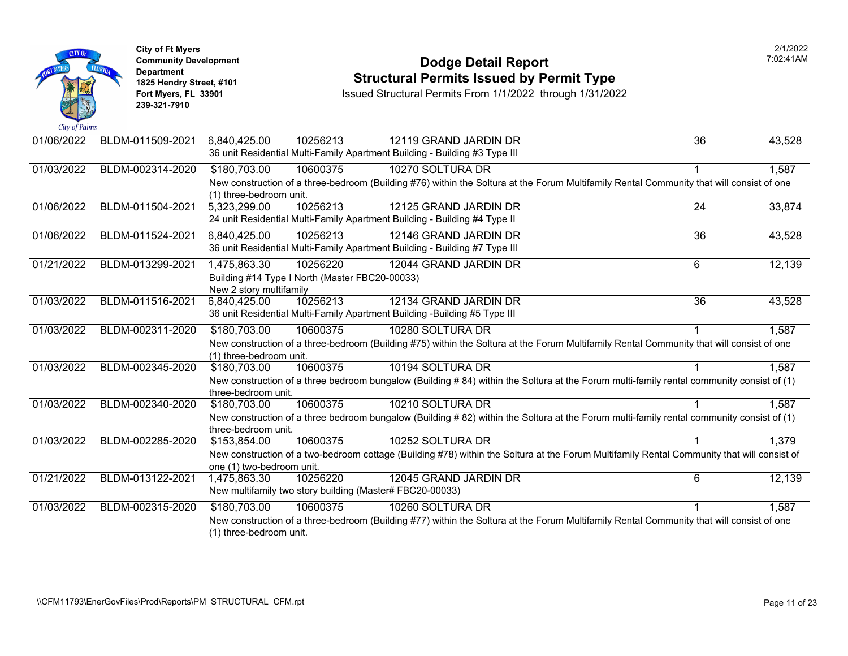|                             | <b>City of Ft Myers</b><br><b>Community Development</b><br><b>Department</b><br>1825 Hendry Street, #101<br>Fort Myers, FL 33901<br>239-321-7910 | <b>Dodge Detail Report</b><br><b>Structural Permits Issued by Permit Type</b><br>Issued Structural Permits From 1/1/2022 through 1/31/2022 |
|-----------------------------|--------------------------------------------------------------------------------------------------------------------------------------------------|--------------------------------------------------------------------------------------------------------------------------------------------|
| City of Palms<br>01/06/2022 | BLDM-011509-2021                                                                                                                                 | 10256213<br>6,840,425.00<br>12119 GRAND JARDIN DR                                                                                          |
|                             |                                                                                                                                                  | 36 unit Residential Multi-Family Apartment Building - Building #3 Type III                                                                 |
| 01/03/2022                  | BLDM-002314-2020                                                                                                                                 | 10270 SOLTURA DR<br>\$180,703.00<br>10600375                                                                                               |
|                             |                                                                                                                                                  | New construction of a three-bedroom (Building #76) within the Soltura at the Forum Multifamily Rental Co<br>(1) three-bedroom unit.        |
| 01/06/2022                  | BLDM-011504-2021                                                                                                                                 | 10256213<br>12125 GRAND JARDIN DR<br>5,323,299.00                                                                                          |
|                             |                                                                                                                                                  | 24 unit Residential Multi-Family Apartment Building - Building #4 Type II                                                                  |
| 01/06/2022                  | BLDM-011524-2021                                                                                                                                 | 12146 GRAND JARDIN DR<br>6,840,425.00<br>10256213                                                                                          |
|                             |                                                                                                                                                  | 36 unit Residential Multi-Family Apartment Building - Building #7 Type III                                                                 |
| 01/21/2022                  | BLDM-013299-2021                                                                                                                                 | 10256220<br>12044 GRAND JARDIN DR<br>1,475,863.30                                                                                          |
|                             |                                                                                                                                                  | Building #14 Type I North (Master FBC20-00033)<br>New 2 story multifamily                                                                  |
| 01/03/2022                  | BLDM-011516-2021                                                                                                                                 | 6,840,425.00<br>12134 GRAND JARDIN DR<br>10256213                                                                                          |
|                             |                                                                                                                                                  | 36 unit Residential Multi-Family Apartment Building -Building #5 Type III                                                                  |
| 01/03/2022                  | BLDM-002311-2020                                                                                                                                 | \$180,703.00<br>10600375<br>10280 SOLTURA DR                                                                                               |
|                             |                                                                                                                                                  | New construction of a three-bedroom (Building #75) within the Soltura at the Forum Multifamily Rental Co<br>(1) three-bedroom unit.        |
| 01/03/2022                  | BLDM-002345-2020                                                                                                                                 | 10600375<br>\$180,703.00<br>10194 SOLTURA DR                                                                                               |
|                             |                                                                                                                                                  | New construction of a three bedroom bungalow (Building #84) within the Soltura at the Forum multi-famil<br>three-bedroom unit.             |
| 01/03/2022                  | BLDM-002340-2020                                                                                                                                 | 10210 SOLTURA DR<br>10600375<br>\$180,703.00                                                                                               |
|                             |                                                                                                                                                  | New construction of a three bedroom bungalow (Building #82) within the Soltura at the Forum multi-famil                                    |
|                             |                                                                                                                                                  | three-bedroom unit.                                                                                                                        |
| 01/03/2022                  | BLDM-002285-2020                                                                                                                                 | 10252 SOLTURA DR<br>10600375<br>\$153,854.00                                                                                               |
|                             |                                                                                                                                                  | New construction of a two-bedroom cottage (Building #78) within the Soltura at the Forum Multifamily Re<br>one (1) two-bedroom unit.       |
| 01/21/2022                  | BLDM-013122-2021                                                                                                                                 | 12045 GRAND JARDIN DR<br>1,475,863.30<br>10256220                                                                                          |
|                             |                                                                                                                                                  | New multifamily two story building (Master# FBC20-00033)                                                                                   |
| 01/03/2022                  | BLDM-002315-2020                                                                                                                                 | \$180,703.00<br>10600375<br>10260 SOLTURA DR                                                                                               |
|                             |                                                                                                                                                  | New construction of a three-bedroom (Building #77) within the Soltura at the Forum Multifamily Rental Co<br>(1) three-bedroom unit.        |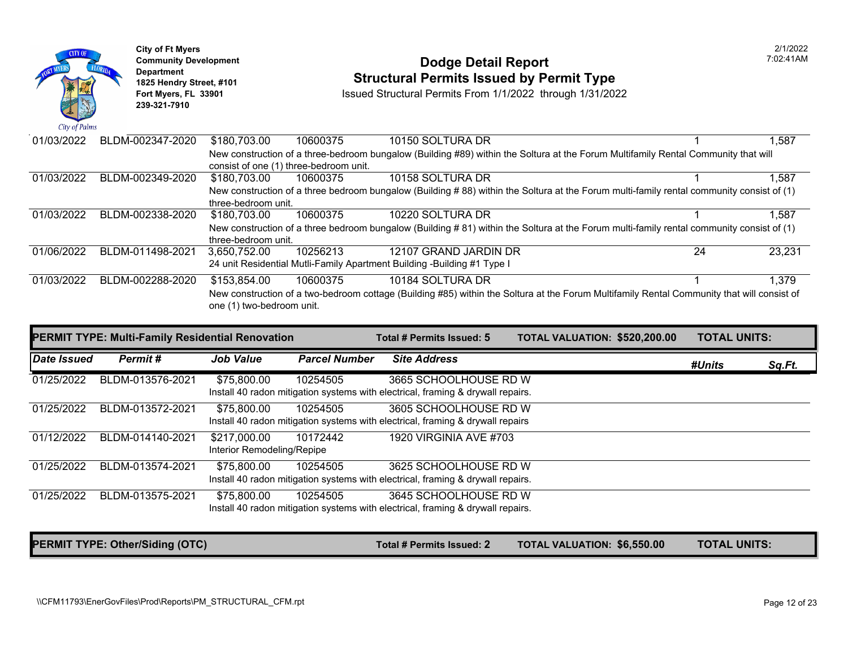| City of Palms | <b>City of Ft Myers</b><br><b>Community Development</b><br>Department<br>1825 Hendry Street, #101<br>Fort Myers, FL 33901<br>239-321-7910 |                  |                           |                                        | <b>Dodge Detail Report</b><br><b>Structural Permits Issued by Permit Type</b><br>Issued Structural Permits From 1/1/2022 through 1/31/2022 |  |
|---------------|-------------------------------------------------------------------------------------------------------------------------------------------|------------------|---------------------------|----------------------------------------|--------------------------------------------------------------------------------------------------------------------------------------------|--|
| 01/03/2022    |                                                                                                                                           | BLDM-002347-2020 | \$180,703.00              | 10600375                               | 10150 SOLTURA DR                                                                                                                           |  |
|               |                                                                                                                                           |                  |                           | consist of one (1) three-bedroom unit. | New construction of a three-bedroom bungalow (Building #89) within the Soltura at the Forum Multifamily                                    |  |
| 01/03/2022    |                                                                                                                                           | BLDM-002349-2020 | \$180,703.00              | 10600375                               | 10158 SOLTURA DR                                                                                                                           |  |
|               |                                                                                                                                           |                  | three-bedroom unit.       |                                        | New construction of a three bedroom bungalow (Building #88) within the Soltura at the Forum multi-famil                                    |  |
| 01/03/2022    |                                                                                                                                           | BLDM-002338-2020 | \$180,703.00              | 10600375                               | 10220 SOLTURA DR                                                                                                                           |  |
|               |                                                                                                                                           |                  | three-bedroom unit.       |                                        | New construction of a three bedroom bungalow (Building #81) within the Soltura at the Forum multi-famil                                    |  |
| 01/06/2022    |                                                                                                                                           | BLDM-011498-2021 | 3,650,752.00              | 10256213                               | 12107 GRAND JARDIN DR                                                                                                                      |  |
|               |                                                                                                                                           |                  |                           |                                        | 24 unit Residential Mutli-Family Apartment Building -Building #1 Type I                                                                    |  |
| 01/03/2022    |                                                                                                                                           | BLDM-002288-2020 | \$153,854.00              | 10600375                               | 10184 SOLTURA DR                                                                                                                           |  |
|               |                                                                                                                                           |                  | one (1) two-bedroom unit. |                                        | New construction of a two-bedroom cottage (Building #85) within the Soltura at the Forum Multifamily Re                                    |  |
|               |                                                                                                                                           |                  |                           |                                        |                                                                                                                                            |  |

|             | <b>PERMIT TYPE: Multi-Family Residential Renovation</b> |                                            | Total # Permits Issued: 5 | <b>TOTAL VALUATION: \$520,20</b>                                                                         |  |  |
|-------------|---------------------------------------------------------|--------------------------------------------|---------------------------|----------------------------------------------------------------------------------------------------------|--|--|
| Date Issued | Permit#                                                 | <b>Job Value</b>                           | <b>Parcel Number</b>      | <b>Site Address</b>                                                                                      |  |  |
| 01/25/2022  | BLDM-013576-2021                                        | \$75,800.00                                | 10254505                  | 3665 SCHOOLHOUSE RD W<br>Install 40 radon mitigation systems with electrical, framing & drywall repairs. |  |  |
| 01/25/2022  | BLDM-013572-2021                                        | \$75,800.00                                | 10254505                  | 3605 SCHOOLHOUSE RD W<br>Install 40 radon mitigation systems with electrical, framing & drywall repairs  |  |  |
| 01/12/2022  | BLDM-014140-2021                                        | \$217,000.00<br>Interior Remodeling/Repipe | 10172442                  | <b>1920 VIRGINIA AVE #703</b>                                                                            |  |  |
| 01/25/2022  | BLDM-013574-2021                                        | \$75,800.00                                | 10254505                  | 3625 SCHOOLHOUSE RD W<br>Install 40 radon mitigation systems with electrical, framing & drywall repairs. |  |  |
| 01/25/2022  | BLDM-013575-2021                                        | \$75,800.00                                | 10254505                  | 3645 SCHOOLHOUSE RD W<br>Install 40 radon mitigation systems with electrical, framing & drywall repairs. |  |  |

PERMIT TYPE: Other/Siding (OTC) Total # Permits Issued: 2 TOTAL VALUATION: \$6,550.0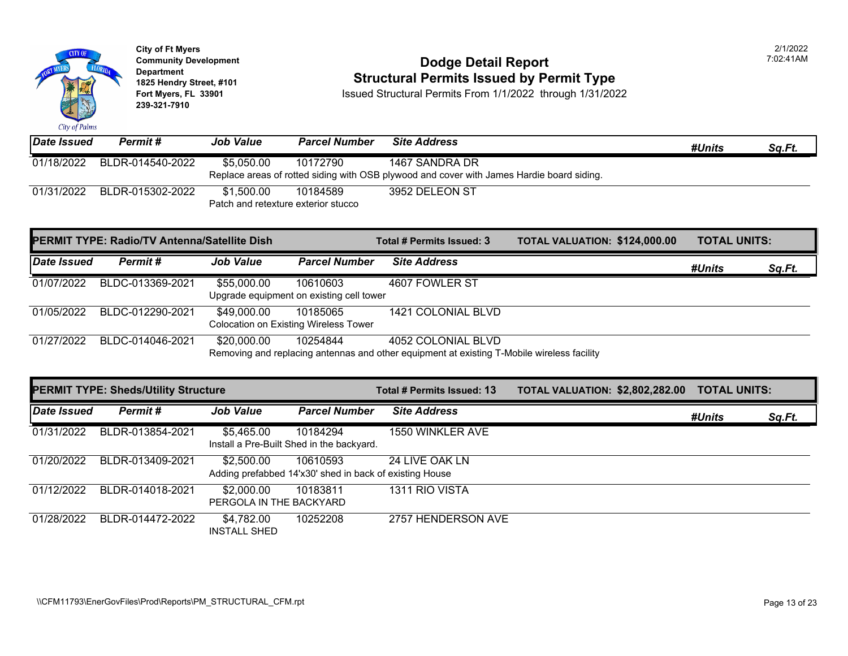

# **Community Development Community Development Community Development Community Dodge Detail Report 1825 Hendry Street, #101 1825 Hendry Street, #101 1825 Hendry Street, #101 Structural Permits Issued by Permit Type**<br>**1825 Fort Myers, FL 33901 18301 ISSued Structural Permits From 1/1/2022** through 1/31/202

| Date Issued | Permit #         | <b>Job Value</b>                                  | <b>Parcel Number</b> | <b>Site Address</b>                                                                                         |
|-------------|------------------|---------------------------------------------------|----------------------|-------------------------------------------------------------------------------------------------------------|
| 01/18/2022  | BLDR-014540-2022 | \$5.050.00                                        | 10172790             | 1467 SANDRA DR<br>Replace areas of rotted siding with OSB plywood and cover with James Hardie board siding. |
| 01/31/2022  | BLDR-015302-2022 | \$1.500.00<br>Patch and retexture exterior stucco | 10184589             | 3952 DELEON ST                                                                                              |

|             | PERMIT TYPE: Radio/TV Antenna/Satellite Dish |                  |                                              | Total # Permits Issued: 3                                                                  | <b>TOTAL VALUATION: \$124,00</b> |  |
|-------------|----------------------------------------------|------------------|----------------------------------------------|--------------------------------------------------------------------------------------------|----------------------------------|--|
| Date Issued | <b>Permit #</b>                              | <b>Job Value</b> | <b>Parcel Number</b>                         | <b>Site Address</b>                                                                        |                                  |  |
| 01/07/2022  | BLDC-013369-2021                             | \$55,000.00      | 10610603                                     | 4607 FOWLER ST                                                                             |                                  |  |
|             |                                              |                  | Upgrade equipment on existing cell tower     |                                                                                            |                                  |  |
| 01/05/2022  | BLDC-012290-2021                             | \$49,000.00      | 10185065                                     | 1421 COLONIAL BLVD                                                                         |                                  |  |
|             |                                              |                  | <b>Colocation on Existing Wireless Tower</b> |                                                                                            |                                  |  |
| 01/27/2022  | BLDC-014046-2021                             | \$20,000.00      | 10254844                                     | 4052 COLONIAL BLVD                                                                         |                                  |  |
|             |                                              |                  |                                              | Removing and replacing antennas and other equipment at existing T-Mobile wireless facility |                                  |  |

|             | <b>PERMIT TYPE: Sheds/Utility Structure</b> |                                       |                                                                     | Total # Permits Issued: 13 | <b>TOTAL VALUATION: \$2,802,2</b> |
|-------------|---------------------------------------------|---------------------------------------|---------------------------------------------------------------------|----------------------------|-----------------------------------|
| Date Issued | Permit#                                     | <b>Job Value</b>                      | <b>Parcel Number</b>                                                | <b>Site Address</b>        |                                   |
| 01/31/2022  | BLDR-013854-2021                            | \$5,465.00                            | 10184294<br>Install a Pre-Built Shed in the backyard.               | 1550 WINKLER AVE           |                                   |
| 01/20/2022  | BLDR-013409-2021                            | \$2,500.00                            | 10610593<br>Adding prefabbed 14'x30' shed in back of existing House | 24 LIVE OAK LN             |                                   |
| 01/12/2022  | BLDR-014018-2021                            | \$2,000.00<br>PERGOLA IN THE BACKYARD | 10183811                                                            | 1311 RIO VISTA             |                                   |
| 01/28/2022  | BLDR-014472-2022                            | \$4,782.00<br><b>INSTALL SHED</b>     | 10252208                                                            | 2757 HENDERSON AVE         |                                   |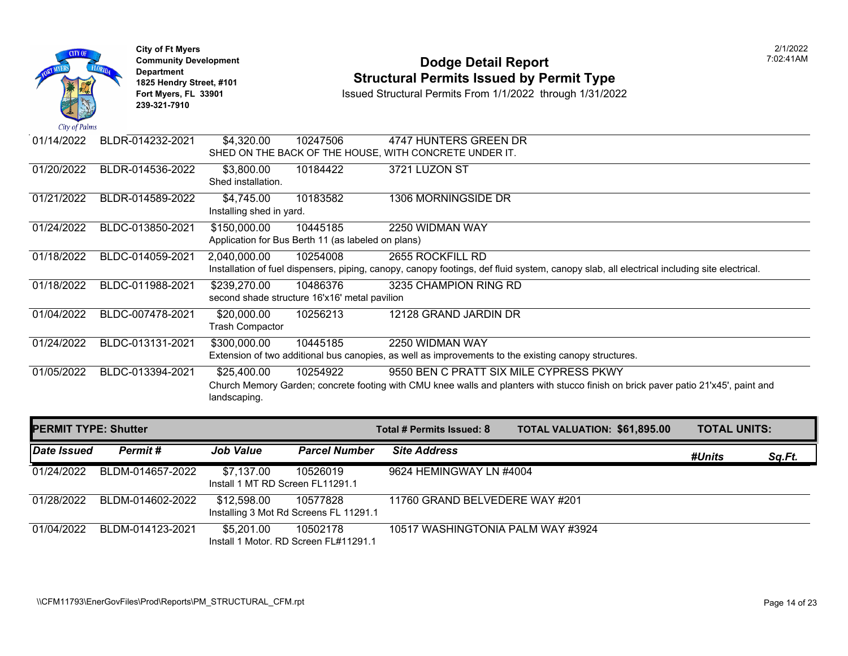

### **Community Development Dodge Detail Report** 7:02:41AM **1825 Hendry Street, #101**<br>1825 Hendry Street, #101 **Structural Permits Issued by Permit Type**<br>1/1/2022 through 1/31/2022

| 01/14/2022                  | BLDR-014232-2021 | \$4,320.00                                         | 10247506 | 4747 HUNTERS GREEN DR                                  |                                                                                                                                            |                     |
|-----------------------------|------------------|----------------------------------------------------|----------|--------------------------------------------------------|--------------------------------------------------------------------------------------------------------------------------------------------|---------------------|
|                             |                  |                                                    |          | SHED ON THE BACK OF THE HOUSE, WITH CONCRETE UNDER IT. |                                                                                                                                            |                     |
| 01/20/2022                  | BLDR-014536-2022 | \$3,800.00                                         | 10184422 | 3721 LUZON ST                                          |                                                                                                                                            |                     |
|                             |                  | Shed installation.                                 |          |                                                        |                                                                                                                                            |                     |
| 01/21/2022                  | BLDR-014589-2022 | \$4,745.00                                         | 10183582 | 1306 MORNINGSIDE DR                                    |                                                                                                                                            |                     |
|                             |                  | Installing shed in yard.                           |          |                                                        |                                                                                                                                            |                     |
| 01/24/2022                  | BLDC-013850-2021 | \$150,000.00                                       | 10445185 | 2250 WIDMAN WAY                                        |                                                                                                                                            |                     |
|                             |                  | Application for Bus Berth 11 (as labeled on plans) |          |                                                        |                                                                                                                                            |                     |
| 01/18/2022                  | BLDC-014059-2021 | 2,040,000.00                                       | 10254008 | 2655 ROCKFILL RD                                       |                                                                                                                                            |                     |
|                             |                  |                                                    |          |                                                        | Installation of fuel dispensers, piping, canopy, canopy footings, def fluid system, canopy slab, all electrical including site electrical. |                     |
| 01/18/2022                  | BLDC-011988-2021 | \$239,270.00                                       | 10486376 | 3235 CHAMPION RING RD                                  |                                                                                                                                            |                     |
|                             |                  | second shade structure 16'x16' metal pavilion      |          |                                                        |                                                                                                                                            |                     |
| 01/04/2022                  | BLDC-007478-2021 | \$20,000.00                                        | 10256213 | 12128 GRAND JARDIN DR                                  |                                                                                                                                            |                     |
|                             |                  | <b>Trash Compactor</b>                             |          |                                                        |                                                                                                                                            |                     |
| 01/24/2022                  | BLDC-013131-2021 | \$300,000.00                                       | 10445185 | 2250 WIDMAN WAY                                        |                                                                                                                                            |                     |
|                             |                  |                                                    |          |                                                        | Extension of two additional bus canopies, as well as improvements to the existing canopy structures.                                       |                     |
| 01/05/2022                  | BLDC-013394-2021 | \$25,400.00                                        | 10254922 | 9550 BEN C PRATT SIX MILE CYPRESS PKWY                 |                                                                                                                                            |                     |
|                             |                  |                                                    |          |                                                        | Church Memory Garden; concrete footing with CMU knee walls and planters with stucco finish on brick paver patio 21'x45', paint and         |                     |
|                             |                  | landscaping.                                       |          |                                                        |                                                                                                                                            |                     |
|                             |                  |                                                    |          |                                                        |                                                                                                                                            |                     |
| <b>PERMIT TYPE: Shutter</b> |                  |                                                    |          | Total # Permits Issued: 8                              | <b>TOTAL VALUATION: \$61,895.00</b>                                                                                                        | <b>TOTAL UNITS:</b> |

| Date Issued | Permit#          | <b>Job Value</b>                               | <b>Parcel Number</b>                               | <b>Site Address</b>               | #Units | Sq.Ft. |
|-------------|------------------|------------------------------------------------|----------------------------------------------------|-----------------------------------|--------|--------|
| 01/24/2022  | BLDM-014657-2022 | \$7,137.00<br>Install 1 MT RD Screen FL11291.1 | 10526019                                           | 9624 HEMINGWAY LN #4004           |        |        |
| 01/28/2022  | BLDM-014602-2022 | \$12,598.00                                    | 10577828<br>Installing 3 Mot Rd Screens FL 11291.1 | 11760 GRAND BELVEDERE WAY #201    |        |        |
| 01/04/2022  | BLDM-014123-2021 | \$5,201.00                                     | 10502178<br>Install 1 Motor, RD Screen FL#11291.1  | 10517 WASHINGTONIA PALM WAY #3924 |        |        |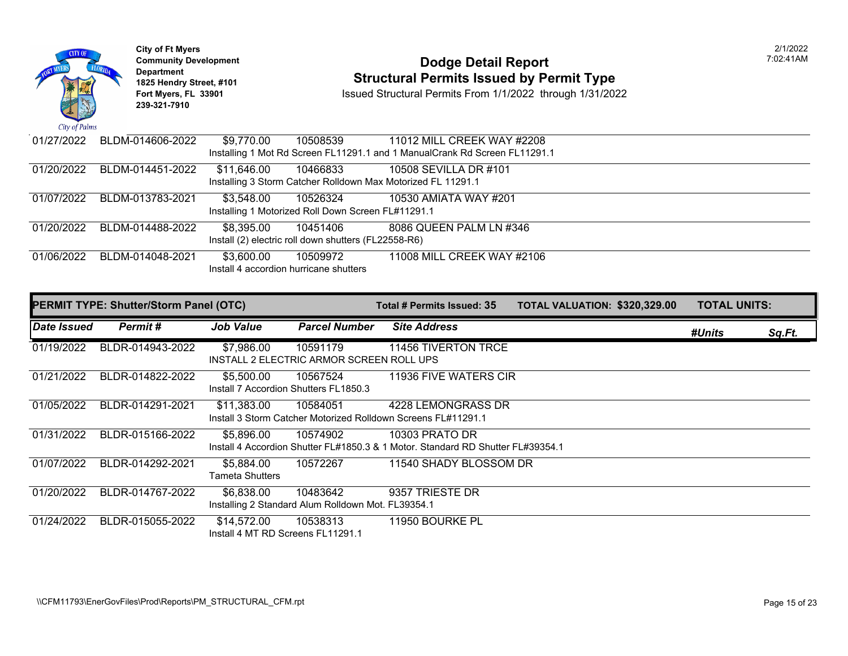

# City of Ft Myers<br> **Community Development Community Development**<br> **Property of Person in the UPS Constant of Person in the Property Constant Person in the Property Constant Person in the Property Constant Person in the Pr 1825 Hendry Street, #101 1825 Hendry Street, #101 1825 Hendry Street, #101 Structural Permits Issued by Permit Type**<br>**1825 Fort Myers, FL 33901 18301 ISSued Structural Permits From 1/1/2022** through 1/31/202

| 01/27/2022 | BLDM-014606-2022 | \$9,770.00                             | 10508539                                             | 11012 MILL CREEK WAY #2208                                                  |  |
|------------|------------------|----------------------------------------|------------------------------------------------------|-----------------------------------------------------------------------------|--|
|            |                  |                                        |                                                      | Installing 1 Mot Rd Screen FL11291.1 and 1 Manual Crank Rd Screen FL11291.1 |  |
| 01/20/2022 | BLDM-014451-2022 | \$11,646.00                            | 10466833                                             | 10508 SEVILLA DR #101                                                       |  |
|            |                  |                                        |                                                      | Installing 3 Storm Catcher Rolldown Max Motorized FL 11291.1                |  |
| 01/07/2022 | BLDM-013783-2021 | \$3,548.00                             | 10526324                                             | 10530 AMIATA WAY #201                                                       |  |
|            |                  |                                        | Installing 1 Motorized Roll Down Screen FL#11291.1   |                                                                             |  |
| 01/20/2022 | BLDM-014488-2022 | \$8,395.00                             | 10451406                                             | 8086 QUEEN PALM LN #346                                                     |  |
|            |                  |                                        | Install (2) electric roll down shutters (FL22558-R6) |                                                                             |  |
| 01/06/2022 | BLDM-014048-2021 | \$3,600.00                             | 10509972                                             | 11008 MILL CREEK WAY #2106                                                  |  |
|            |                  | Install 4 accordion hurricane shutters |                                                      |                                                                             |  |

|             | <b>PERMIT TYPE: Shutter/Storm Panel (OTC)</b> | <b>Job Value</b><br>\$7,986.00<br>10591179<br>INSTALL 2 ELECTRIC ARMOR SCREEN ROLL UPS<br>\$5,500.00<br>10567524<br>Install 7 Accordion Shutters FL1850.3<br>\$11,383.00<br>10584051<br>Install 3 Storm Catcher Motorized Rolldown Screens FL#11291.1<br>\$5,896.00<br>10574902<br>Install 4 Accordion Shutter FL#1850.3 & 1 Motor, Standard RD Shutter FL#39354.1<br>\$5,884.00<br>10572267<br>Tameta Shutters<br>\$6,838.00<br>10483642 |                                                    | Total # Permits Issued: 35 | <b>TOTAL VALUATION: \$320,32</b> |  |
|-------------|-----------------------------------------------|-------------------------------------------------------------------------------------------------------------------------------------------------------------------------------------------------------------------------------------------------------------------------------------------------------------------------------------------------------------------------------------------------------------------------------------------|----------------------------------------------------|----------------------------|----------------------------------|--|
| Date Issued | Permit#                                       |                                                                                                                                                                                                                                                                                                                                                                                                                                           | <b>Parcel Number</b>                               | <b>Site Address</b>        |                                  |  |
| 01/19/2022  | BLDR-014943-2022                              |                                                                                                                                                                                                                                                                                                                                                                                                                                           |                                                    | 11456 TIVERTON TRCE        |                                  |  |
| 01/21/2022  | BLDR-014822-2022                              |                                                                                                                                                                                                                                                                                                                                                                                                                                           |                                                    | 11936 FIVE WATERS CIR      |                                  |  |
| 01/05/2022  | BLDR-014291-2021                              |                                                                                                                                                                                                                                                                                                                                                                                                                                           |                                                    | 4228 LEMONGRASS DR         |                                  |  |
| 01/31/2022  | BLDR-015166-2022                              |                                                                                                                                                                                                                                                                                                                                                                                                                                           |                                                    | 10303 PRATO DR             |                                  |  |
| 01/07/2022  | BLDR-014292-2021                              |                                                                                                                                                                                                                                                                                                                                                                                                                                           |                                                    | 11540 SHADY BLOSSOM DR     |                                  |  |
| 01/20/2022  | BLDR-014767-2022                              |                                                                                                                                                                                                                                                                                                                                                                                                                                           | Installing 2 Standard Alum Rolldown Mot. FL39354.1 | 9357 TRIESTE DR            |                                  |  |
| 01/24/2022  | BLDR-015055-2022                              | \$14,572.00<br>Install 4 MT RD Screens FL11291.1                                                                                                                                                                                                                                                                                                                                                                                          | 10538313                                           | 11950 BOURKE PL            |                                  |  |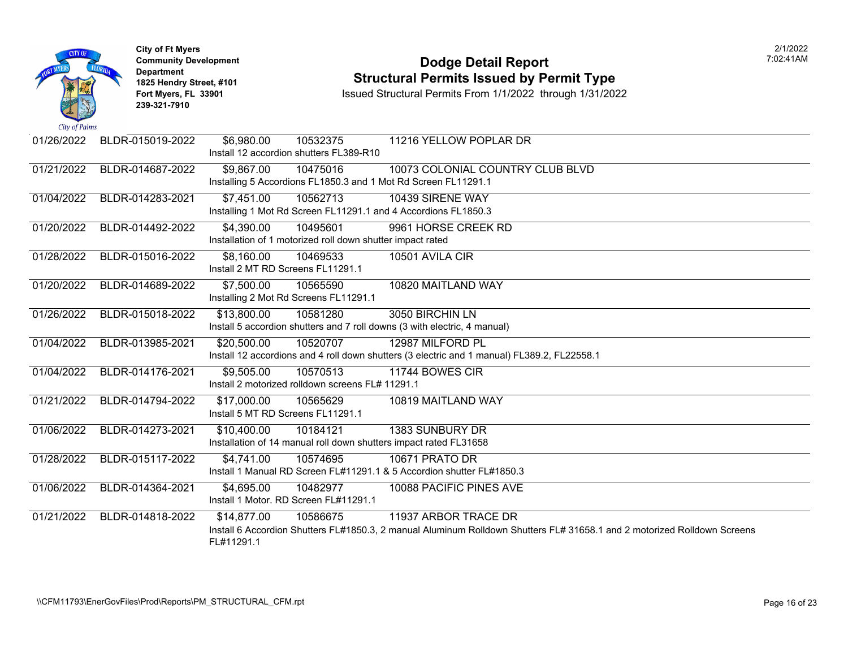

### **Community Development Dodge Detail Report** 7:02:41AM **1825 Hendry Street, #101**<br>1825 Hendry Street, #101 **Structural Permits Issued by Permit Type**<br>1/1/2022 through 1/31/2022

| 01/26/2022 | BLDR-015019-2022 | \$6,980.00<br>10532375                                                    | 11216 YELLOW POPLAR DR                                                                                                   |
|------------|------------------|---------------------------------------------------------------------------|--------------------------------------------------------------------------------------------------------------------------|
|            |                  | Install 12 accordion shutters FL389-R10                                   |                                                                                                                          |
| 01/21/2022 | BLDR-014687-2022 | \$9,867.00<br>10475016                                                    | 10073 COLONIAL COUNTRY CLUB BLVD                                                                                         |
|            |                  | Installing 5 Accordions FL1850.3 and 1 Mot Rd Screen FL11291.1            |                                                                                                                          |
| 01/04/2022 | BLDR-014283-2021 | \$7,451.00<br>10562713                                                    | 10439 SIRENE WAY                                                                                                         |
|            |                  | Installing 1 Mot Rd Screen FL11291.1 and 4 Accordions FL1850.3            |                                                                                                                          |
| 01/20/2022 | BLDR-014492-2022 | \$4,390.00<br>10495601                                                    | 9961 HORSE CREEK RD                                                                                                      |
|            |                  | Installation of 1 motorized roll down shutter impact rated                |                                                                                                                          |
| 01/28/2022 | BLDR-015016-2022 | \$8,160.00<br>10469533                                                    | 10501 AVILA CIR                                                                                                          |
|            |                  | Install 2 MT RD Screens FL11291.1                                         |                                                                                                                          |
| 01/20/2022 | BLDR-014689-2022 | \$7,500.00<br>10565590                                                    | 10820 MAITLAND WAY                                                                                                       |
|            |                  | Installing 2 Mot Rd Screens FL11291.1                                     |                                                                                                                          |
| 01/26/2022 | BLDR-015018-2022 | \$13,800.00<br>10581280                                                   | 3050 BIRCHIN LN                                                                                                          |
|            |                  | Install 5 accordion shutters and 7 roll downs (3 with electric, 4 manual) |                                                                                                                          |
| 01/04/2022 | BLDR-013985-2021 | \$20,500.00<br>10520707                                                   | 12987 MILFORD PL                                                                                                         |
|            |                  |                                                                           | Install 12 accordions and 4 roll down shutters (3 electric and 1 manual) FL389.2, FL22558.1                              |
| 01/04/2022 | BLDR-014176-2021 | \$9,505.00<br>10570513                                                    | 11744 BOWES CIR                                                                                                          |
|            |                  | Install 2 motorized rolldown screens FL# 11291.1                          |                                                                                                                          |
| 01/21/2022 | BLDR-014794-2022 | \$17,000.00<br>10565629                                                   | 10819 MAITLAND WAY                                                                                                       |
|            |                  | Install 5 MT RD Screens FL11291.1                                         |                                                                                                                          |
| 01/06/2022 | BLDR-014273-2021 | \$10,400.00<br>10184121                                                   | 1383 SUNBURY DR                                                                                                          |
|            |                  | Installation of 14 manual roll down shutters impact rated FL31658         |                                                                                                                          |
| 01/28/2022 | BLDR-015117-2022 | \$4,741.00<br>10574695                                                    | <b>10671 PRATO DR</b>                                                                                                    |
|            |                  | Install 1 Manual RD Screen FL#11291.1 & 5 Accordion shutter FL#1850.3     |                                                                                                                          |
| 01/06/2022 | BLDR-014364-2021 | \$4,695.00<br>10482977                                                    | 10088 PACIFIC PINES AVE                                                                                                  |
|            |                  | Install 1 Motor, RD Screen FL#11291.1                                     |                                                                                                                          |
| 01/21/2022 | BLDR-014818-2022 | \$14,877.00<br>10586675                                                   | 11937 ARBOR TRACE DR                                                                                                     |
|            |                  |                                                                           | Install 6 Accordion Shutters FL#1850.3, 2 manual Aluminum Rolldown Shutters FL# 31658.1 and 2 motorized Rolldown Screens |
|            |                  | FL#11291.1                                                                |                                                                                                                          |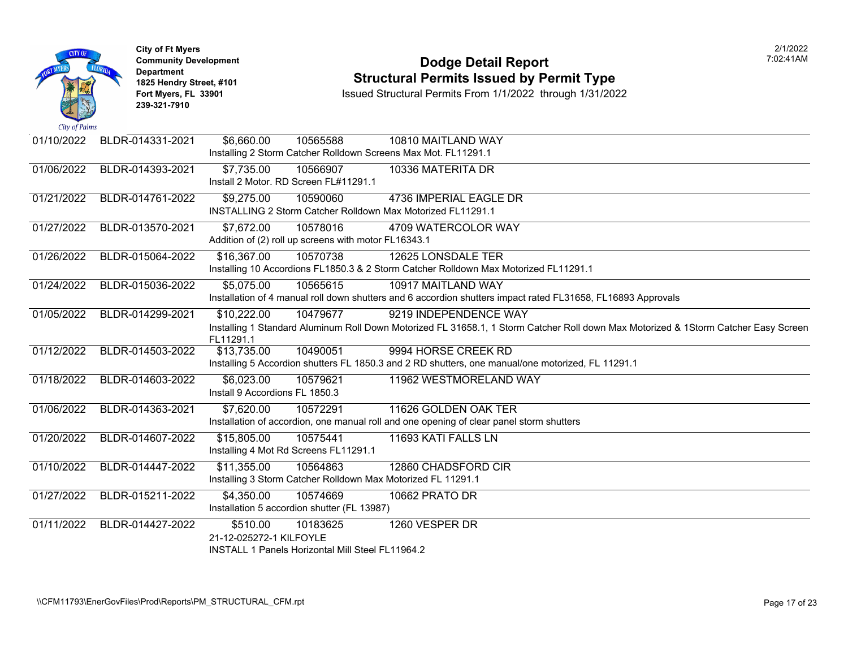

### **Community Development Dodge Detail Report** 7:02:41AM **1825 Hendry Street, #101**<br>1825 Hendry Street, #101 **Structural Permits Issued by Permit Type**<br>1/1/2022 through 1/31/2022

| 01/10/2022 | BLDR-014331-2021 | \$6,660.00<br>10565588<br>10810 MAITLAND WAY                                                                                        |
|------------|------------------|-------------------------------------------------------------------------------------------------------------------------------------|
|            |                  | Installing 2 Storm Catcher Rolldown Screens Max Mot. FL11291.1                                                                      |
| 01/06/2022 | BLDR-014393-2021 | \$7,735.00<br>10566907<br>10336 MATERITA DR                                                                                         |
|            |                  | Install 2 Motor. RD Screen FL#11291.1                                                                                               |
| 01/21/2022 | BLDR-014761-2022 | \$9,275.00<br>4736 IMPERIAL EAGLE DR<br>10590060                                                                                    |
|            |                  | INSTALLING 2 Storm Catcher Rolldown Max Motorized FL11291.1                                                                         |
| 01/27/2022 | BLDR-013570-2021 | \$7,672.00<br>10578016<br>4709 WATERCOLOR WAY                                                                                       |
|            |                  | Addition of (2) roll up screens with motor FL16343.1                                                                                |
| 01/26/2022 | BLDR-015064-2022 | \$16,367.00<br>12625 LONSDALE TER<br>10570738                                                                                       |
|            |                  | Installing 10 Accordions FL1850.3 & 2 Storm Catcher Rolldown Max Motorized FL11291.1                                                |
| 01/24/2022 | BLDR-015036-2022 | \$5,075.00<br>10565615<br>10917 MAITLAND WAY                                                                                        |
|            |                  | Installation of 4 manual roll down shutters and 6 accordion shutters impact rated FL31658, FL16893 Approvals                        |
| 01/05/2022 | BLDR-014299-2021 | \$10,222.00<br>10479677<br>9219 INDEPENDENCE WAY                                                                                    |
|            |                  | Installing 1 Standard Aluminum Roll Down Motorized FL 31658.1, 1 Storm Catcher Roll down Max Motorized & 1Storm Catcher Easy Screen |
| 01/12/2022 | BLDR-014503-2022 | FL11291.1<br>9994 HORSE CREEK RD<br>10490051<br>\$13,735.00                                                                         |
|            |                  | Installing 5 Accordion shutters FL 1850.3 and 2 RD shutters, one manual/one motorized, FL 11291.1                                   |
| 01/18/2022 | BLDR-014603-2022 | \$6,023.00<br>10579621<br>11962 WESTMORELAND WAY                                                                                    |
|            |                  | Install 9 Accordions FL 1850.3                                                                                                      |
| 01/06/2022 | BLDR-014363-2021 | \$7,620.00<br>10572291<br>11626 GOLDEN OAK TER                                                                                      |
|            |                  | Installation of accordion, one manual roll and one opening of clear panel storm shutters                                            |
| 01/20/2022 | BLDR-014607-2022 | \$15,805.00<br>10575441<br>11693 KATI FALLS LN                                                                                      |
|            |                  | Installing 4 Mot Rd Screens FL11291.1                                                                                               |
| 01/10/2022 | BLDR-014447-2022 | \$11,355.00<br>10564863<br>12860 CHADSFORD CIR                                                                                      |
|            |                  | Installing 3 Storm Catcher Rolldown Max Motorized FL 11291.1                                                                        |
| 01/27/2022 | BLDR-015211-2022 | \$4,350.00<br>10574669<br>10662 PRATO DR                                                                                            |
|            |                  | Installation 5 accordion shutter (FL 13987)                                                                                         |
| 01/11/2022 | BLDR-014427-2022 | \$510.00<br>1260 VESPER DR<br>10183625                                                                                              |
|            |                  | 21-12-025272-1 KILFOYLE                                                                                                             |
|            |                  | INSTALL 1 Panels Horizontal Mill Steel FL11964.2                                                                                    |
|            |                  |                                                                                                                                     |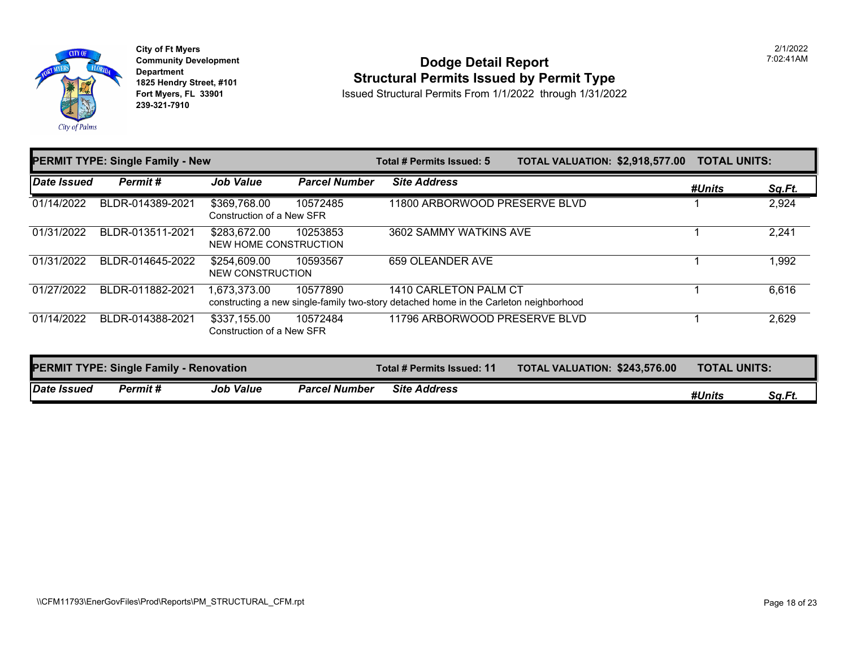

**City of Ft Myers Community Development Department 1825 Hendry Street, #101 Fort Myers, FL 33901 239-321-7910** 

#### **Dodge Detail Report Structural Permits Issued by Permit Type**

Issued Structural Permits From 1/1/2022 through 1/31/2022

| <b>PERMIT TYPE: Single Family - New</b> |                                                |                                           |                      | Total # Permits Issued: 5                                                                                      | <b>TOTAL VALUATION: \$2,918,577.00</b> | <b>TOTAL UNITS:</b> |        |
|-----------------------------------------|------------------------------------------------|-------------------------------------------|----------------------|----------------------------------------------------------------------------------------------------------------|----------------------------------------|---------------------|--------|
| <b>Date Issued</b>                      | Permit#                                        | <b>Job Value</b>                          | <b>Parcel Number</b> | <b>Site Address</b>                                                                                            |                                        | #Units              | Sq.Ft. |
| 01/14/2022                              | BLDR-014389-2021                               | \$369,768.00<br>Construction of a New SFR | 10572485             | 11800 ARBORWOOD PRESERVE BLVD                                                                                  |                                        |                     | 2,924  |
| 01/31/2022                              | BLDR-013511-2021                               | \$283,672.00<br>NEW HOME CONSTRUCTION     | 10253853             | 3602 SAMMY WATKINS AVE                                                                                         |                                        |                     | 2,241  |
| 01/31/2022                              | BLDR-014645-2022                               | \$254,609.00<br><b>NEW CONSTRUCTION</b>   | 10593567             | 659 OLEANDER AVE                                                                                               |                                        |                     | 1,992  |
| 01/27/2022                              | BLDR-011882-2021                               | 1,673,373.00                              | 10577890             | 1410 CARLETON PALM CT<br>constructing a new single-family two-story detached home in the Carleton neighborhood |                                        |                     | 6,616  |
| 01/14/2022                              | BLDR-014388-2021                               | \$337,155.00<br>Construction of a New SFR | 10572484             | 11796 ARBORWOOD PRESERVE BLVD                                                                                  |                                        |                     | 2,629  |
|                                         | <b>PERMIT TYPE: Single Family - Renovation</b> |                                           |                      | Total # Permits Issued: 11                                                                                     | TOTAL VALUATION: \$243,576.00          | TOTAL UNITS:        |        |
| <b>Date Issued</b>                      | Permit#                                        | <b>Job Value</b>                          | <b>Parcel Number</b> | <b>Site Address</b>                                                                                            |                                        | #Units              | Sa.Ft. |

2/1/2022 7:02:41AM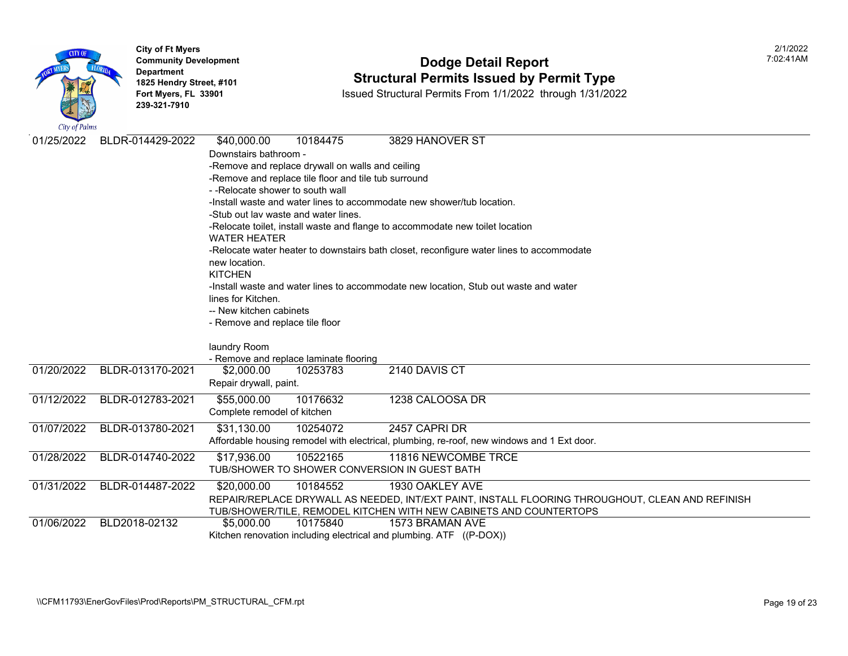

### **Community Development Community Development Community Development 1825 Hendry Street, #101 1825 Hendry Street, #101 1825 Hendry Street, #101 Structural Permits Issued by Permit Type**<br>**1825 Fort Myers, FL 33901 18301 ISSued Structural Permits From 1/1/2022** through 1/31/202

|            | BLDR-014429-2022 |                                                      |                                      |                                                                                            |
|------------|------------------|------------------------------------------------------|--------------------------------------|--------------------------------------------------------------------------------------------|
| 01/25/2022 |                  | \$40,000.00                                          | 10184475                             | 3829 HANOVER ST                                                                            |
|            |                  | Downstairs bathroom -                                |                                      |                                                                                            |
|            |                  | -Remove and replace drywall on walls and ceiling     |                                      |                                                                                            |
|            |                  | -Remove and replace tile floor and tile tub surround |                                      |                                                                                            |
|            |                  | --Relocate shower to south wall                      |                                      |                                                                                            |
|            |                  |                                                      |                                      | -Install waste and water lines to accommodate new shower/tub location.                     |
|            |                  |                                                      | -Stub out lay waste and water lines. |                                                                                            |
|            |                  | <b>WATER HEATER</b>                                  |                                      | -Relocate toilet, install waste and flange to accommodate new toilet location              |
|            |                  |                                                      |                                      | -Relocate water heater to downstairs bath closet, reconfigure water lines to accommodate   |
|            |                  | new location.                                        |                                      |                                                                                            |
|            |                  | <b>KITCHEN</b>                                       |                                      |                                                                                            |
|            |                  |                                                      |                                      | -Install waste and water lines to accommodate new location, Stub out waste and water       |
|            |                  | lines for Kitchen.                                   |                                      |                                                                                            |
|            |                  | -- New kitchen cabinets                              |                                      |                                                                                            |
|            |                  | - Remove and replace tile floor                      |                                      |                                                                                            |
|            |                  |                                                      |                                      |                                                                                            |
|            |                  | laundry Room                                         |                                      |                                                                                            |
|            |                  | - Remove and replace laminate flooring               |                                      |                                                                                            |
| 01/20/2022 | BLDR-013170-2021 | \$2,000.00                                           | 10253783                             | 2140 DAVIS CT                                                                              |
|            |                  | Repair drywall, paint.                               |                                      |                                                                                            |
| 01/12/2022 | BLDR-012783-2021 | \$55,000.00                                          | 10176632                             | 1238 CALOOSA DR                                                                            |
|            |                  | Complete remodel of kitchen                          |                                      |                                                                                            |
| 01/07/2022 | BLDR-013780-2021 | \$31,130.00                                          | 10254072                             | 2457 CAPRI DR                                                                              |
|            |                  |                                                      |                                      | Affordable housing remodel with electrical, plumbing, re-roof, new windows and 1 Ext door. |
| 01/28/2022 | BLDR-014740-2022 | \$17,936.00                                          | 10522165                             | 11816 NEWCOMBE TRCE                                                                        |
|            |                  |                                                      |                                      | TUB/SHOWER TO SHOWER CONVERSION IN GUEST BATH                                              |
| 01/31/2022 | BLDR-014487-2022 | \$20,000.00                                          | 10184552                             | 1930 OAKLEY AVE                                                                            |
|            |                  |                                                      |                                      | REPAIR/REPLACE DRYWALL AS NEEDED, INT/EXT PAINT, INSTALL FLOORING THROUGHOUT, C            |
|            |                  |                                                      |                                      | TUB/SHOWER/TILE, REMODEL KITCHEN WITH NEW CABINETS AND COUNTERTOPS                         |
| 01/06/2022 | BLD2018-02132    | \$5,000.00                                           | 10175840                             | 1573 BRAMAN AVE                                                                            |
|            |                  |                                                      |                                      | Kitchen renovation including electrical and plumbing. ATF ((P-DOX))                        |
|            |                  |                                                      |                                      |                                                                                            |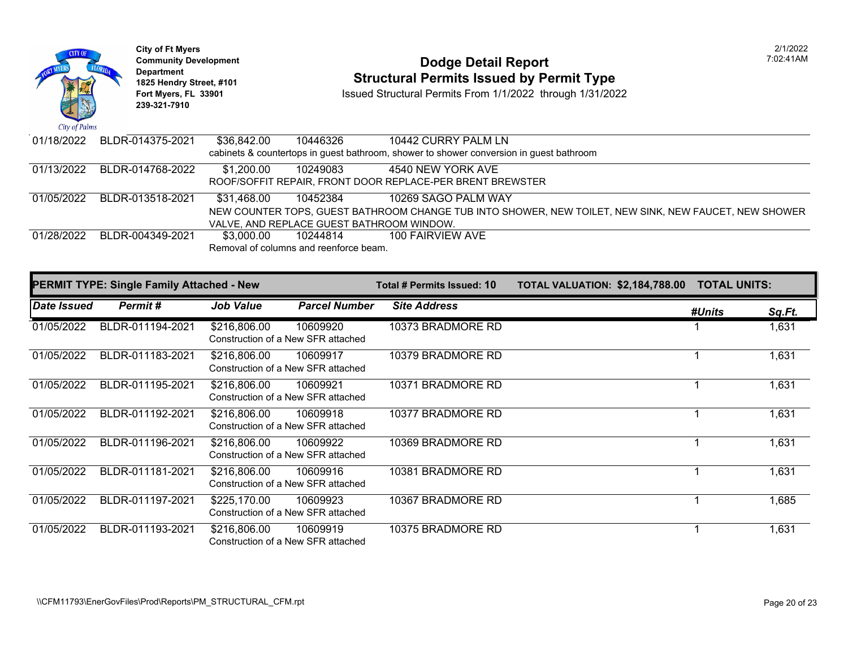

# **Community Development Dodge Detail Report** 7:02:41AM **1825 Hendry Street, #101**<br>1825 Hendry Street, #101 **Structural Permits Issued by Permit Type**<br>1/1/2022 through 1/31/2022

| 01/18/2022 | BLDR-014375-2021 | \$36,842.00 | 10446326                                  | 10442 CURRY PALM LN                                                                                   |
|------------|------------------|-------------|-------------------------------------------|-------------------------------------------------------------------------------------------------------|
|            |                  |             |                                           | cabinets & countertops in guest bathroom, shower to shower conversion in guest bathroom               |
| 01/13/2022 | BLDR-014768-2022 | \$1.200.00  | 10249083                                  | 4540 NEW YORK AVE                                                                                     |
|            |                  |             |                                           | ROOF/SOFFIT REPAIR, FRONT DOOR REPLACE-PER BRENT BREWSTER                                             |
| 01/05/2022 | BLDR-013518-2021 | \$31.468.00 | 10452384                                  | 10269 SAGO PALM WAY                                                                                   |
|            |                  |             |                                           | NEW COUNTER TOPS, GUEST BATHROOM CHANGE TUB INTO SHOWER, NEW TOILET, NEW SINK, NEW FAUCET, NEW SHOWER |
|            |                  |             | VALVE, AND REPLACE GUEST BATHROOM WINDOW. |                                                                                                       |
| 01/28/2022 | BLDR-004349-2021 | \$3.000.00  | 10244814                                  | 100 FAIRVIEW AVE                                                                                      |
|            |                  |             | Removal of columns and reenforce beam.    |                                                                                                       |

| <b>PERMIT TYPE: Single Family Attached - New</b> |                  |                                                    |                      | Total # Permits Issued: 10 | <b>TOTAL VALUATION: \$2,184,788.00</b> | <b>TOTAL UNITS:</b> |        |
|--------------------------------------------------|------------------|----------------------------------------------------|----------------------|----------------------------|----------------------------------------|---------------------|--------|
| Date Issued                                      | Permit#          | <b>Job Value</b>                                   | <b>Parcel Number</b> | <b>Site Address</b>        |                                        | #Units              | Sq.Ft. |
| 01/05/2022                                       | BLDR-011194-2021 | \$216,806.00<br>Construction of a New SFR attached | 10609920             | 10373 BRADMORE RD          |                                        |                     | 1,631  |
| 01/05/2022                                       | BLDR-011183-2021 | \$216,806.00<br>Construction of a New SFR attached | 10609917             | 10379 BRADMORE RD          |                                        |                     | 1,631  |
| 01/05/2022                                       | BLDR-011195-2021 | \$216,806.00<br>Construction of a New SFR attached | 10609921             | 10371 BRADMORE RD          |                                        |                     | 1,631  |
| 01/05/2022                                       | BLDR-011192-2021 | \$216,806.00<br>Construction of a New SFR attached | 10609918             | 10377 BRADMORE RD          |                                        |                     | 1,631  |
| 01/05/2022                                       | BLDR-011196-2021 | \$216,806.00<br>Construction of a New SFR attached | 10609922             | 10369 BRADMORE RD          |                                        |                     | 1,631  |
| 01/05/2022                                       | BLDR-011181-2021 | \$216,806.00<br>Construction of a New SFR attached | 10609916             | 10381 BRADMORE RD          |                                        |                     | 1,631  |
| 01/05/2022                                       | BLDR-011197-2021 | \$225,170.00<br>Construction of a New SFR attached | 10609923             | 10367 BRADMORE RD          |                                        |                     | 1,685  |
| 01/05/2022                                       | BLDR-011193-2021 | \$216,806.00<br>Construction of a New SFR attached | 10609919             | 10375 BRADMORE RD          |                                        |                     | 1,631  |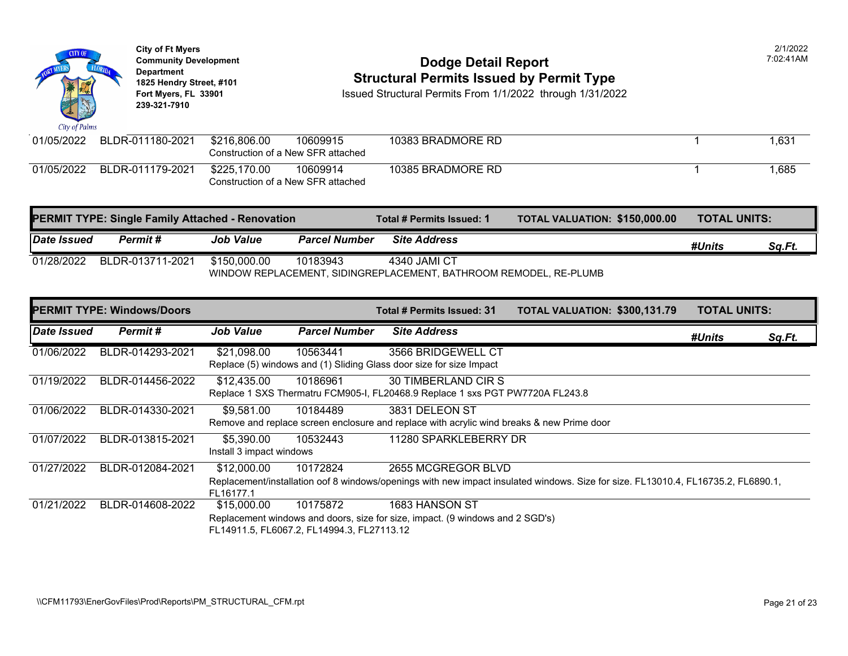

Construction of a New SFR attached

|             | <b>PERMIT TYPE: Single Family Attached - Renovation</b> |                  | Total # Permits Issued: 1 | <b>TOTAL VALUATION: \$150,00</b>                                  |  |
|-------------|---------------------------------------------------------|------------------|---------------------------|-------------------------------------------------------------------|--|
| Date Issued | Permit#                                                 | <b>Job Value</b> | <b>Parcel Number</b>      | <b>Site Address</b>                                               |  |
| 01/28/2022  | BLDR-013711-2021                                        | \$150,000.00     | 10183943                  | 4340 JAMI CT                                                      |  |
|             |                                                         |                  |                           | WINDOW REPLACEMENT, SIDINGREPLACEMENT, BATHROOM REMODEL, RE-PLUMB |  |

|             | <b>PERMIT TYPE: Windows/Doors</b> |                                        |                                                        | Total # Permits Issued: 31                                                                                                   | <b>TOTAL VALUATION: \$300,13</b> |  |
|-------------|-----------------------------------|----------------------------------------|--------------------------------------------------------|------------------------------------------------------------------------------------------------------------------------------|----------------------------------|--|
| Date Issued | Permit#                           | <b>Job Value</b>                       | <b>Parcel Number</b>                                   | <b>Site Address</b>                                                                                                          |                                  |  |
| 01/06/2022  | BLDR-014293-2021                  | \$21,098.00                            | 10563441                                               | 3566 BRIDGEWELL CT<br>Replace (5) windows and (1) Sliding Glass door size for size Impact                                    |                                  |  |
| 01/19/2022  | BLDR-014456-2022                  | \$12,435.00                            | 10186961                                               | <b>30 TIMBERLAND CIR S</b><br>Replace 1 SXS Thermatru FCM905-I, FL20468.9 Replace 1 sxs PGT PW7720A FL243.8                  |                                  |  |
| 01/06/2022  | BLDR-014330-2021                  | \$9,581.00                             | 10184489                                               | 3831 DELEON ST<br>Remove and replace screen enclosure and replace with acrylic wind breaks & new Prime door                  |                                  |  |
| 01/07/2022  | BLDR-013815-2021                  | \$5,390.00<br>Install 3 impact windows | 10532443                                               | 11280 SPARKLEBERRY DR                                                                                                        |                                  |  |
| 01/27/2022  | BLDR-012084-2021                  | \$12,000.00<br>FL16177.1               | 10172824                                               | 2655 MCGREGOR BLVD<br>Replacement/installation oof 8 windows/openings with new impact insulated windows. Size for size. FL13 |                                  |  |
| 01/21/2022  | BLDR-014608-2022                  | \$15,000.00                            | 10175872<br>FL14911.5, FL6067.2, FL14994.3, FL27113.12 | 1683 HANSON ST<br>Replacement windows and doors, size for size, impact. (9 windows and 2 SGD's)                              |                                  |  |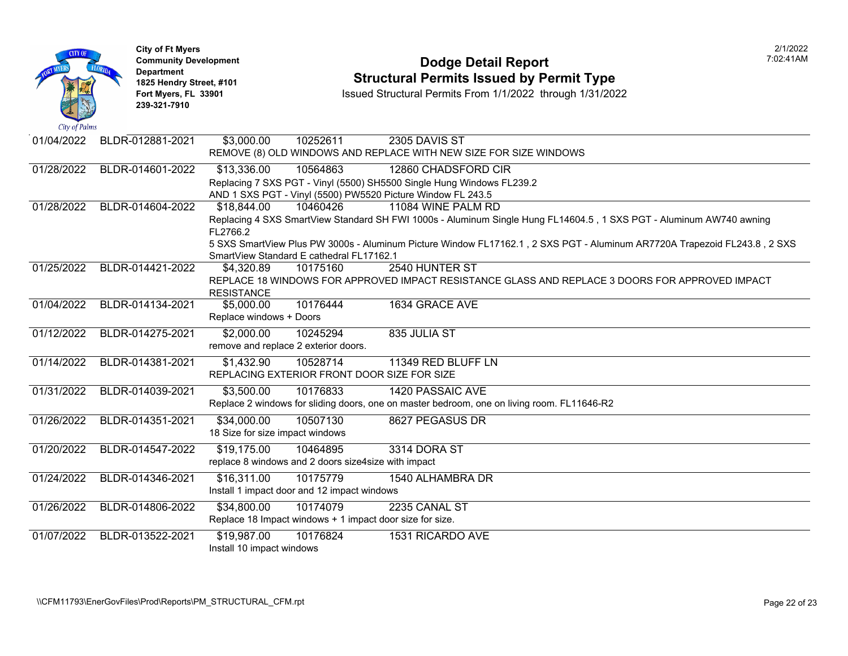| <b>CITY OF</b><br>City of Palms | <b>City of Ft Myers</b><br><b>Community Development</b><br><b>Department</b><br>1825 Hendry Street, #101<br>Fort Myers, FL 33901<br>239-321-7910 | <b>Dodge Detail Report</b><br><b>Structural Permits Issued by Permit Type</b><br>Issued Structural Permits From 1/1/2022 through 1/31/2022                                                                                                                                                            |
|---------------------------------|--------------------------------------------------------------------------------------------------------------------------------------------------|-------------------------------------------------------------------------------------------------------------------------------------------------------------------------------------------------------------------------------------------------------------------------------------------------------|
| 01/04/2022                      | BLDR-012881-2021                                                                                                                                 | \$3,000.00<br>10252611<br>2305 DAVIS ST<br>REMOVE (8) OLD WINDOWS AND REPLACE WITH NEW SIZE FOR SIZE WINDOWS                                                                                                                                                                                          |
| 01/28/2022                      | BLDR-014601-2022                                                                                                                                 | \$13,336.00<br>10564863<br>12860 CHADSFORD CIR<br>Replacing 7 SXS PGT - Vinyl (5500) SH5500 Single Hung Windows FL239.2<br>AND 1 SXS PGT - Vinyl (5500) PW5520 Picture Window FL 243.5                                                                                                                |
| 01/28/2022                      | BLDR-014604-2022                                                                                                                                 | \$18,844.00<br>10460426<br>11084 WINE PALM RD<br>Replacing 4 SXS SmartView Standard SH FWI 1000s - Aluminum Single Hung FL14604.5, 1 SXS PGT -<br>FL2766.2<br>5 SXS SmartView Plus PW 3000s - Aluminum Picture Window FL17162.1, 2 SXS PGT - Aluminum AR7<br>SmartView Standard E cathedral FL17162.1 |
| 01/25/2022                      | BLDR-014421-2022                                                                                                                                 | 2540 HUNTER ST<br>\$4,320.89<br>10175160<br>REPLACE 18 WINDOWS FOR APPROVED IMPACT RESISTANCE GLASS AND REPLACE 3 DOORS<br><b>RESISTANCE</b>                                                                                                                                                          |
| 01/04/2022                      | BLDR-014134-2021                                                                                                                                 | 10176444<br>1634 GRACE AVE<br>\$5,000.00<br>Replace windows + Doors                                                                                                                                                                                                                                   |
| 01/12/2022                      | BLDR-014275-2021                                                                                                                                 | \$2,000.00<br>10245294<br>835 JULIA ST<br>remove and replace 2 exterior doors.                                                                                                                                                                                                                        |
| 01/14/2022                      | BLDR-014381-2021                                                                                                                                 | \$1,432.90<br>10528714<br>11349 RED BLUFF LN<br>REPLACING EXTERIOR FRONT DOOR SIZE FOR SIZE                                                                                                                                                                                                           |
| 01/31/2022                      | BLDR-014039-2021                                                                                                                                 | \$3,500.00<br>10176833<br>1420 PASSAIC AVE<br>Replace 2 windows for sliding doors, one on master bedroom, one on living room. FL11646-R2                                                                                                                                                              |
| 01/26/2022                      | BLDR-014351-2021                                                                                                                                 | \$34,000.00<br>10507130<br>8627 PEGASUS DR<br>18 Size for size impact windows                                                                                                                                                                                                                         |
| 01/20/2022                      | BLDR-014547-2022                                                                                                                                 | \$19,175.00<br>10464895<br>3314 DORA ST<br>replace 8 windows and 2 doors size4size with impact                                                                                                                                                                                                        |
| 01/24/2022                      | BLDR-014346-2021                                                                                                                                 | \$16,311.00<br>10175779<br>1540 ALHAMBRA DR<br>Install 1 impact door and 12 impact windows                                                                                                                                                                                                            |
| 01/26/2022                      | BLDR-014806-2022                                                                                                                                 | \$34,800.00<br>10174079<br>2235 CANAL ST<br>Replace 18 Impact windows + 1 impact door size for size.                                                                                                                                                                                                  |
| 01/07/2022                      | BLDR-013522-2021                                                                                                                                 | \$19,987.00<br>10176824<br>1531 RICARDO AVE<br>Install 10 impact windows                                                                                                                                                                                                                              |